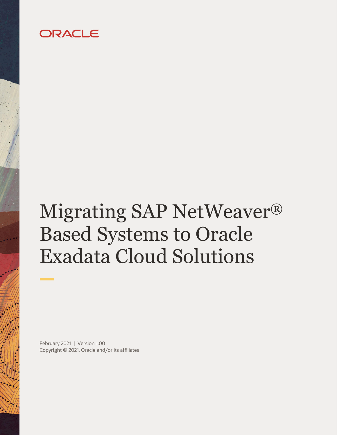## ORACLE

# Migrating SAP NetWeaver® Based Systems to Oracle Exadata Cloud Solutions

February 2021 | Version 1.00 Copyright © 2021, Oracle and/or its affiliates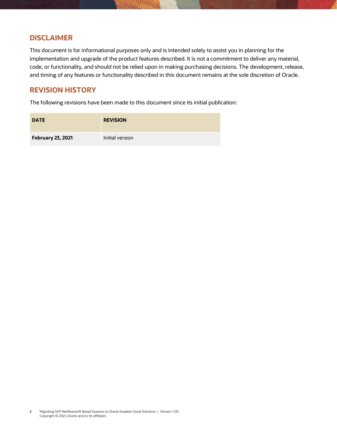## **DISCLAIMER**

This document is for informational purposes only and is intended solely to assist you in planning for the implementation and upgrade of the product features described. It is not a commitment to deliver any material, code, or functionality, and should not be relied upon in making purchasing decisions. The development, release, and timing of any features or functionality described in this document remains at the sole discretion of Oracle.

## **REVISION HISTORY**

The following revisions have been made to this document since its initial publication:

| <b>DATE</b>              | <b>REVISION</b> |
|--------------------------|-----------------|
| <b>February 23, 2021</b> | Initial version |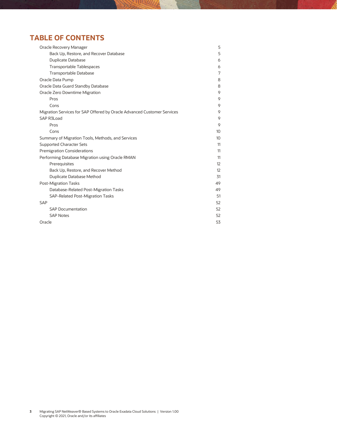## **TABLE OF CONTENTS**

| Oracle Recovery Manager                                                 | 5                |
|-------------------------------------------------------------------------|------------------|
| Back Up, Restore, and Recover Database                                  | 5                |
| <b>Duplicate Database</b>                                               | 6                |
| Transportable Tablespaces                                               | 6                |
| Transportable Database                                                  | 7                |
| Oracle Data Pump                                                        | 8                |
| Oracle Data Guard Standby Database                                      | 8                |
| Oracle Zero Downtime Migration                                          | 9                |
| Pros                                                                    | 9                |
| Cons                                                                    | 9                |
| Migration Services for SAP Offered by Oracle Advanced Customer Services | 9                |
| SAP R3Load                                                              | 9                |
| Pros                                                                    | 9                |
| Cons                                                                    | 10 <sup>10</sup> |
| Summary of Migration Tools, Methods, and Services                       | 10 <sup>10</sup> |
| <b>Supported Character Sets</b>                                         | 11               |
| <b>Premigration Considerations</b>                                      | 11               |
| Performing Database Migration using Oracle RMAN                         | 11               |
| Prerequisites                                                           | 12               |
| Back Up, Restore, and Recover Method                                    | 12               |
| Duplicate Database Method                                               | 31               |
| Post-Migration Tasks                                                    | 49               |
| Database-Related Post-Migration Tasks                                   | 49               |
| <b>SAP-Related Post-Migration Tasks</b>                                 | 51               |
| <b>SAP</b>                                                              | 52               |
| <b>SAP Documentation</b>                                                | 52               |
| <b>SAP Notes</b>                                                        | 52               |
| Oracle                                                                  | 53               |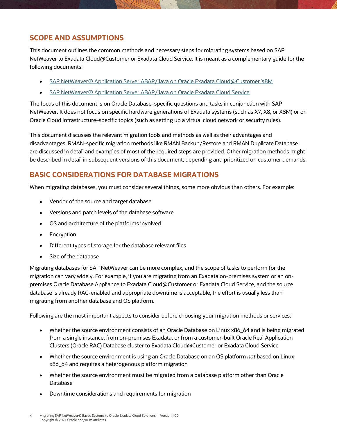## **SCOPE AND ASSUMPTIONS**

This document outlines the common methods and necessary steps for migrating systems based on SAP NetWeaver to Exadata Cloud@Customer or Exadata Cloud Service. It is meant as a complementary guide for the following documents:

- [SAP NetWeaver® Application Server ABAP/Java on Oracle Exadata Cloud@Customer X8M](https://docs.oracle.com/en-us/iaas/Content/Resources/Assets/whitepapers/sap_netweaver_app_server_abap_java_on_exadata_cloud_at_customer.pdf)
- [SAP NetWeaver® Application Server ABAP/Java on Oracle Exadata Cloud Service](https://docs.oracle.com/en-us/iaas/Content/Resources/Assets/whitepapers/exacs_x8m_sap_netweaver_app_server_abap_java_on_exadata_cloud_service.pdf)

The focus of this document is on Oracle Database–specific questions and tasks in conjunction with SAP NetWeaver. It does not focus on specific hardware generations of Exadata systems (such as X7, X8, or X8M) or on Oracle Cloud Infrastructure–specific topics (such as setting up a virtual cloud network or security rules).

This document discusses the relevant migration tools and methods as well as their advantages and disadvantages. RMAN-specific migration methods like RMAN Backup/Restore and RMAN Duplicate Database are discussed in detail and examples of most of the required steps are provided. Other migration methods might be described in detail in subsequent versions of this document, depending and prioritized on customer demands.

## **BASIC CONSIDERATIONS FOR DATABASE MIGRATIONS**

When migrating databases, you must consider several things, some more obvious than others. For example:

- Vendor of the source and target database
- Versions and patch levels of the database software
- OS and architecture of the platforms involved
- Encryption
- Different types of storage for the database relevant files
- Size of the database

Migrating databases for SAP NetWeaver can be more complex, and the scope of tasks to perform for the migration can vary widely. For example, if you are migrating from an Exadata on-premises system or an onpremises Oracle Database Appliance to Exadata Cloud@Customer or Exadata Cloud Service, and the source database is already RAC-enabled and appropriate downtime is acceptable, the effort is usually less than migrating from another database and OS platform.

Following are the most important aspects to consider before choosing your migration methods or services:

- Whether the source environment consists of an Oracle Database on Linux x86\_64 and is being migrated from a single instance, from on-premises Exadata, or from a customer-built Oracle Real Application Clusters (Oracle RAC) Database cluster to Exadata Cloud@Customer or Exadata Cloud Service
- Whether the source environment is using an Oracle Database on an OS platform *not* based on Linux x86\_64 and requires a heterogenous platform migration
- Whether the source environment must be migrated from a database platform other than Oracle Database
- Downtime considerations and requirements for migration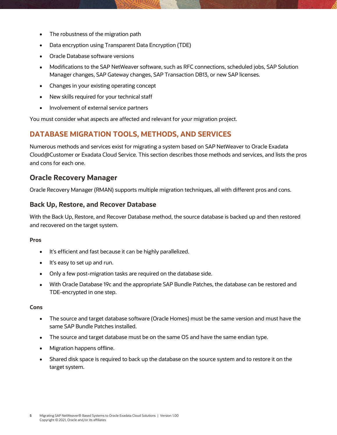- The robustness of the migration path
- Data encryption using Transparent Data Encryption (TDE)
- Oracle Database software versions
- Modifications to the SAP NetWeaver software, such as RFC connections, scheduled jobs, SAP Solution Manager changes, SAP Gateway changes, SAP Transaction DB13, or new SAP licenses.
- Changes in your existing operating concept
- New skills required for your technical staff
- Involvement of external service partners

You must consider what aspects are affected and relevant for *your* migration project.

## **DATABASE MIGRATION TOOLS, METHODS, AND SERVICES**

Numerous methods and services exist for migrating a system based on SAP NetWeaver to Oracle Exadata Cloud@Customer or Exadata Cloud Service. This section describes those methods and services, and lists the pros and cons for each one.

## <span id="page-4-0"></span>**Oracle Recovery Manager**

Oracle Recovery Manager (RMAN) supports multiple migration techniques, all with different pros and cons.

## <span id="page-4-1"></span>**Back Up, Restore, and Recover Database**

With the Back Up, Restore, and Recover Database method, the source database is backed up and then restored and recovered on the target system.

#### **Pros**

- It's efficient and fast because it can be highly parallelized.
- It's easy to set up and run.
- Only a few post-migration tasks are required on the database side.
- With Oracle Database 19c and the appropriate SAP Bundle Patches, the database can be restored and TDE-encrypted in one step.

#### **Cons**

- The source and target database software (Oracle Homes) must be the same version and must have the same SAP Bundle Patches installed.
- The source and target database must be on the same OS and have the same endian type.
- Migration happens offline.
- Shared disk space is required to back up the database on the source system and to restore it on the target system.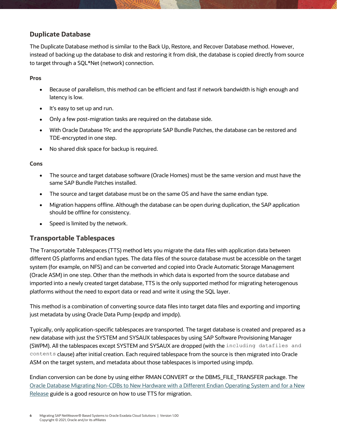## <span id="page-5-0"></span>**Duplicate Database**

The Duplicate Database method is similar to the Back Up, Restore, and Recover Database method. However, instead of backing up the database to disk and restoring it from disk, the database is copied directly from source to target through a SQL\*Net (network) connection.

#### **Pros**

- Because of parallelism, this method can be efficient and fast if network bandwidth is high enough and latency is low.
- It's easy to set up and run.
- Only a few post-migration tasks are required on the database side.
- With Oracle Database 19c and the appropriate SAP Bundle Patches, the database can be restored and TDE-encrypted in one step.
- No shared disk space for backup is required.

#### **Cons**

- The source and target database software (Oracle Homes) must be the same version and must have the same SAP Bundle Patches installed.
- The source and target database must be on the same OS and have the same endian type.
- Migration happens offline. Although the database can be open during duplication, the SAP application should be offline for consistency.
- Speed is limited by the network.

## <span id="page-5-1"></span>**Transportable Tablespaces**

The Transportable Tablespaces (TTS) method lets you migrate the data files with application data between different OS platforms and endian types. The data files of the source database must be accessible on the target system (for example, on NFS) and can be converted and copied into Oracle Automatic Storage Management (Oracle ASM) in one step. Other than the methods in which data is exported from the source database and imported into a newly created target database, TTS is the only supported method for migrating heterogenous platforms without the need to export data or read and write it using the SQL layer.

This method is a combination of converting source data files into target data files and exporting and importing just metadata by using Oracle Data Pump (expdp and impdp).

Typically, only application-specific tablespaces are transported. The target database is created and prepared as a new database with just the SYSTEM and SYSAUX tablespaces by using SAP Software Provisioning Manager (SWPM). All the tablespaces except SYSTEM and SYSAUX are dropped (with the including datafiles and contents clause) after initial creation. Each required tablespace from the source is then migrated into Oracle ASM on the target system, and metadata about those tablespaces is imported using impdp.

Endian conversion can be done by using either RMAN CONVERT or the DBMS\_FILE\_TRANSFER package. The [Oracle Database Migrating Non-CDBs to New Hardware with a Different Endian Operating System and for a New](https://docs.oracle.com/en/database/oracle/oracle-database/19/spmdu/migrating-non-cdbs-new-hardware-different-endian-operating-system-and-new-release.pdf)  [Release](https://docs.oracle.com/en/database/oracle/oracle-database/19/spmdu/migrating-non-cdbs-new-hardware-different-endian-operating-system-and-new-release.pdf) guide is a good resource on how to use TTS for migration.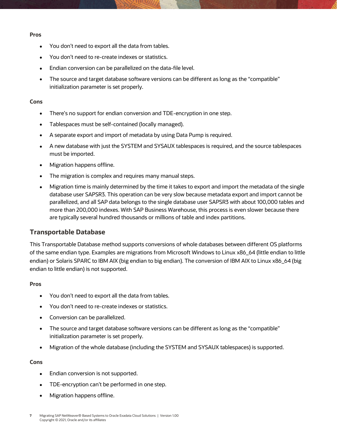#### **Pros**

- You don't need to export all the data from tables.
- You don't need to re-create indexes or statistics.
- Endian conversion can be parallelized on the data-file level.
- The source and target database software versions can be different as long as the "compatible" initialization parameter is set properly.

#### **Cons**

- There's no support for endian conversion and TDE-encryption in one step.
- Tablespaces must be self-contained (locally managed).
- A separate export and import of metadata by using Data Pump is required.
- A new database with just the SYSTEM and SYSAUX tablespaces is required, and the source tablespaces must be imported.
- Migration happens offline.
- The migration is complex and requires many manual steps.
- Migration time is mainly determined by the time it takes to export and import the metadata of the single database user SAPSR3. This operation can be very slow because metadata export and import cannot be parallelized, and all SAP data belongs to the single database user SAPSR3 with about 100,000 tables and more than 200,000 indexes. With SAP Business Warehouse, this process is even slower because there are typically several hundred thousands or millions of table and index partitions.

## <span id="page-6-0"></span>**Transportable Database**

This Transportable Database method supports conversions of whole databases between different OS platforms of the same endian type. Examples are migrations from Microsoft Windows to Linux x86\_64 (little endian to little endian) or Solaris SPARC to IBM AIX (big endian to big endian). The conversion of IBM AIX to Linux x86\_64 (big endian to little endian) is not supported.

#### **Pros**

- You don't need to export all the data from tables.
- You don't need to re-create indexes or statistics.
- Conversion can be parallelized.
- The source and target database software versions can be different as long as the "compatible" initialization parameter is set properly.
- Migration of the whole database (including the SYSTEM and SYSAUX tablespaces) is supported.

#### **Cons**

- Endian conversion is not supported.
- TDE-encryption can't be performed in one step.
- Migration happens offline.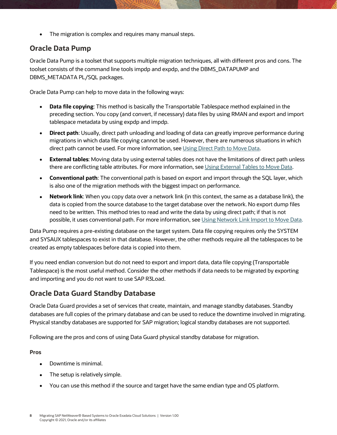• The migration is complex and requires many manual steps.

## <span id="page-7-0"></span>**Oracle Data Pump**

Oracle Data Pump is a toolset that supports multiple migration techniques, all with different pros and cons. The toolset consists of the command line tools impdp and expdp, and the DBMS\_DATAPUMP and DBMS\_METADATA PL/SQL packages.

Oracle Data Pump can help to move data in the following ways:

- **Data file copying**: This method is basically the Transportable Tablespace method explained in the preceding section. You copy (and convert, if necessary) data files by using RMAN and export and import tablespace metadata by using expdp and impdp.
- **Direct path**: Usually, direct path unloading and loading of data can greatly improve performance during migrations in which data file copying cannot be used. However, there are numerous situations in which direct path cannot be used. For more information, see [Using Direct Path to](https://docs.oracle.com/en/database/oracle/oracle-database/19/sutil/oracle-data-pump-overview.html#GUID-F5790243-15A3-4932-9258-1A466985964D) Move Data.
- **External tables**: Moving data by using external tables does not have the limitations of direct path unless there are conflicting table attributes. For more information, se[e Using External Tables to Move Data.](https://docs.oracle.com/en/database/oracle/oracle-database/19/sutil/oracle-data-pump-overview.html#GUID-EDB0DFE2-A20A-4FF6-B584-1D31583054AB)
- **Conventional path**: The conventional path is based on export and import through the SQL layer, which is also one of the migration methods with the biggest impact on performance.
- **Network link**: When you copy data over a network link (in this context, the same as a database link), the data is copied from the source database to the target database over the network. No export dump files need to be written. This method tries to read and write the data by using direct path; if that is not possible, it uses conventional path. For more information, se[e Using Network Link Import to Move Data.](https://docs.oracle.com/en/database/oracle/oracle-database/19/sutil/oracle-data-pump-overview.html#GUID-3E1D4B46-E856-4ABE-ACC5-977A898BB0F1)

Data Pump requires a pre-existing database on the target system. Data file copying requires only the SYSTEM and SYSAUX tablespaces to exist in that database. However, the other methods require all the tablespaces to be created as empty tablespaces before data is copied into them.

If you need endian conversion but do not need to export and import data, data file copying (Transportable Tablespace) is the most useful method. Consider the other methods if data needs to be migrated by exporting and importing and you do not want to use SAP R3Load.

## <span id="page-7-1"></span>**Oracle Data Guard Standby Database**

Oracle Data Guard provides a set of services that create, maintain, and manage standby databases. Standby databases are full copies of the primary database and can be used to reduce the downtime involved in migrating. Physical standby databases are supported for SAP migration; logical standby databases are not supported.

Following are the pros and cons of using Data Guard physical standby database for migration.

## **Pros**

- Downtime is minimal.
- The setup is relatively simple.
- You can use this method if the source and target have the same endian type and OS platform.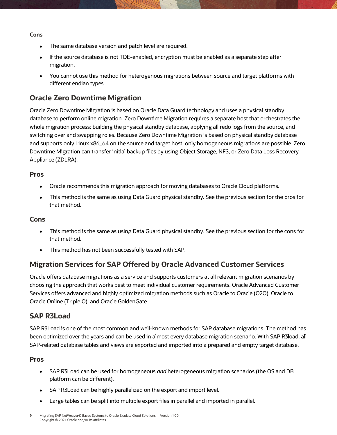#### **Cons**

- The same database version and patch level are required.
- If the source database is not TDE-enabled, encryption must be enabled as a separate step after migration.
- You cannot use this method for heterogenous migrations between source and target platforms with different endian types.

## <span id="page-8-0"></span>**Oracle Zero Downtime Migration**

Oracle Zero Downtime Migration is based on Oracle Data Guard technology and uses a physical standby database to perform online migration. Zero Downtime Migration requires a separate host that orchestrates the whole migration process: building the physical standby database, applying all redo logs from the source, and switching over and swapping roles. Because Zero Downtime Migration is based on physical standby database and supports only Linux x86\_64 on the source and target host, only homogeneous migrations are possible. Zero Downtime Migration can transfer initial backup files by using Object Storage, NFS, or Zero Data Loss Recovery Appliance (ZDLRA).

## <span id="page-8-1"></span>**Pros**

- Oracle recommends this migration approach for moving databases to Oracle Cloud platforms.
- This method is the same as using Data Guard physical standby. See the previous section for the pros for that method.

## <span id="page-8-2"></span>**Cons**

- This method is the same as using Data Guard physical standby. See the previous section for the cons for that method.
- This method has not been successfully tested with SAP.

## <span id="page-8-3"></span>**Migration Services for SAP Offered by Oracle Advanced Customer Services**

Oracle offers database migrations as a service and supports customers at all relevant migration scenarios by choosing the approach that works best to meet individual customer requirements. Oracle Advanced Customer Services offers advanced and highly optimized migration methods such as Oracle to Oracle (O2O), Oracle to Oracle Online (Triple O), and Oracle GoldenGate.

## <span id="page-8-4"></span>**SAP R3Load**

SAP R3Load is one of the most common and well-known methods for SAP database migrations. The method has been optimized over the years and can be used in almost every database migration scenario. With SAP R3load, all SAP-related database tables and views are exported and imported into a prepared and empty target database.

### <span id="page-8-5"></span>**Pros**

- SAP R3Load can be used for homogeneous *and* heterogeneous migration scenarios (the OS and DB platform can be different).
- SAP R3Load can be highly parallelized on the export and import level.
- Large tables can be split into multiple export files in parallel and imported in parallel.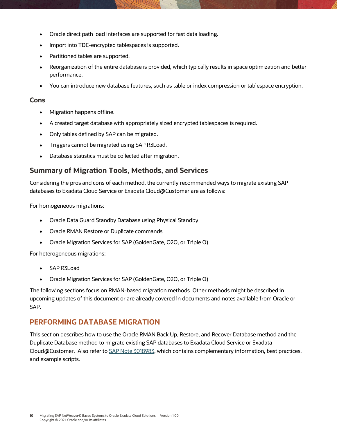- Oracle direct path load interfaces are supported for fast data loading.
- Import into TDE-encrypted tablespaces is supported.
- Partitioned tables are supported.
- Reorganization of the entire database is provided, which typically results in space optimization and better performance.
- You can introduce new database features, such as table or index compression or tablespace encryption.

#### <span id="page-9-0"></span>**Cons**

- Migration happens offline.
- A created target database with appropriately sized encrypted tablespaces is required.
- Only tables defined by SAP can be migrated.
- Triggers cannot be migrated using SAP R3Load.
- Database statistics must be collected after migration.

## <span id="page-9-1"></span>**Summary of Migration Tools, Methods, and Services**

Considering the pros and cons of each method, the currently recommended ways to migrate existing SAP databases to Exadata Cloud Service or Exadata Cloud@Customer are as follows:

For homogeneous migrations:

- Oracle Data Guard Standby Database using Physical Standby
- Oracle RMAN Restore or Duplicate commands
- Oracle Migration Services for SAP (GoldenGate, O2O, or Triple O)

For heterogeneous migrations:

- SAP R3Load
- Oracle Migration Services for SAP (GoldenGate, O2O, or Triple O)

The following sections focus on RMAN-based migration methods. Other methods might be described in upcoming updates of this document or are already covered in documents and notes available from Oracle or SAP.

## **PERFORMING DATABASE MIGRATION**

This section describes how to use the Oracle RMAN Back Up, Restore, and Recover Database method and the Duplicate Database method to migrate existing SAP databases to Exadata Cloud Service or Exadata Cloud@Customer. Also refer to [SAP Note 3018983,](https://launchpad.support.sap.com/#/notes/3018983) which contains complementary information, best practices, and example scripts.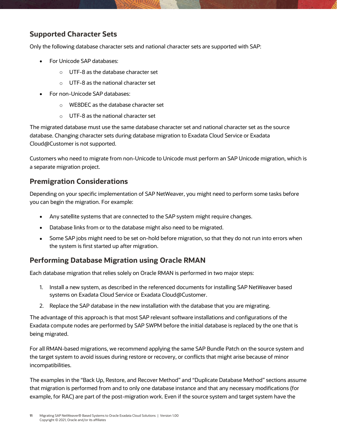## <span id="page-10-0"></span>**Supported Character Sets**

Only the following database character sets and national character sets are supported with SAP:

- For Unicode SAP databases:
	- o UTF-8 as the database character set
	- o UTF-8 as the national character set
- For non-Unicode SAP databases:
	- o WE8DEC as the database character set
	- o UTF-8 as the national character set

The migrated database must use the same database character set and national character set as the source database. Changing character sets during database migration to Exadata Cloud Service or Exadata Cloud@Customer is not supported.

Customers who need to migrate from non-Unicode to Unicode must perform an SAP Unicode migration, which is a separate migration project.

## <span id="page-10-1"></span>**Premigration Considerations**

Depending on your specific implementation of SAP NetWeaver, you might need to perform some tasks before you can begin the migration. For example:

- Any satellite systems that are connected to the SAP system might require changes.
- Database links from or to the database might also need to be migrated.
- Some SAP jobs might need to be set on-hold before migration, so that they do not run into errors when the system is first started up after migration.

## <span id="page-10-2"></span>**Performing Database Migration using Oracle RMAN**

Each database migration that relies solely on Oracle RMAN is performed in two major steps:

- 1. Install a new system, as described in the referenced documents for installing SAP NetWeaver based systems on Exadata Cloud Service or Exadata Cloud@Customer.
- 2. Replace the SAP database in the new installation with the database that you are migrating.

The advantage of this approach is that most SAP relevant software installations and configurations of the Exadata compute nodes are performed by SAP SWPM before the initial database is replaced by the one that is being migrated.

For all RMAN-based migrations, we recommend applying the same SAP Bundle Patch on the source system and the target system to avoid issues during restore or recovery, or conflicts that might arise because of minor incompatibilities.

The examples in the "Back [Up, Restore, and Recover Method](#page-11-1)" and "[Duplicate Database Method](#page-30-0)" sections assume that migration is performed from and to only one database instance and that any necessary modifications (for example, for RAC) are part of the post-migration work. Even if the source system and target system have the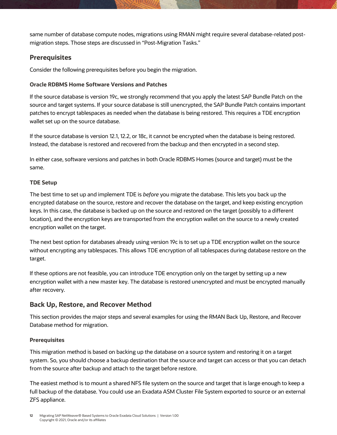same number of database compute nodes, migrations using RMAN might require several database-related postmigration steps. Those steps are discussed in "[Post-Migration](#page-48-0) Tasks."

## <span id="page-11-0"></span>**Prerequisites**

Consider the following prerequisites before you begin the migration.

## **Oracle RDBMS Home Software Versions and Patches**

If the source database is version 19c, we strongly recommend that you apply the latest SAP Bundle Patch on the source and target systems. If your source database is still unencrypted, the SAP Bundle Patch contains important patches to encrypt tablespaces as needed when the database is being restored. This requires a TDE encryption wallet set up on the source database.

If the source database is version 12.1, 12.2, or 18c, it cannot be encrypted when the database is being restored. Instead, the database is restored and recovered from the backup and then encrypted in a second step.

In either case, software versions and patches in both Oracle RDBMS Homes (source and target) must be the same.

## **TDE Setup**

The best time to set up and implement TDE is *before* you migrate the database. This lets you back up the encrypted database on the source, restore and recover the database on the target, and keep existing encryption keys. In this case, the database is backed up on the source and restored on the target (possibly to a different location), and the encryption keys are transported from the encryption wallet on the source to a newly created encryption wallet on the target.

The next best option for databases already using version 19c is to set up a TDE encryption wallet on the source without encrypting any tablespaces. This allows TDE encryption of all tablespaces during database restore on the target.

If these options are not feasible, you can introduce TDE encryption only on the target by setting up a new encryption wallet with a new master key. The database is restored unencrypted and must be encrypted manually after recovery.

## <span id="page-11-1"></span>**Back Up, Restore, and Recover Method**

This section provides the major steps and several examples for using the RMAN Back Up, Restore, and Recover Database method for migration.

### **Prerequisites**

This migration method is based on backing up the database on a source system and restoring it on a target system. So, you should choose a backup destination that the source and target can access or that you can detach from the source after backup and attach to the target before restore.

The easiest method is to mount a shared NFS file system on the source and target that is large enough to keep a full backup of the database. You could use an Exadata ASM Cluster File System exported to source or an external ZFS appliance.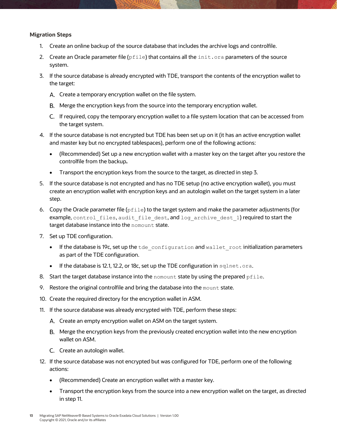#### **Migration Steps**

- 1. Create an online backup of the source database that includes the archive logs and controlfile.
- 2. Create an Oracle parameter file ( $pfile$ ) that contains all the  $init.ora$  parameters of the source system.
- 3. If the source database is already encrypted with TDE, transport the contents of the encryption wallet to the target:
	- A. Create a temporary encryption wallet on the file system.
	- Merge the encryption keys from the source into the temporary encryption wallet.
	- If required, copy the temporary encryption wallet to a file system location that can be accessed from the target system.
- 4. If the source database is not encrypted but TDE has been set up on it (it has an active encryption wallet and master key but no encrypted tablespaces), perform one of the following actions:
	- (Recommended) Set up a new encryption wallet with a master key on the target after you restore the controlfile from the backup**.**
	- Transport the encryption keys from the source to the target, as directed in step 3.
- 5. If the source database is not encrypted and has no TDE setup (no active encryption wallet), you must create an encryption wallet with encryption keys and an autologin wallet on the target system in a later step.
- 6. Copy the Oracle parameter file ( $pfile$ ) to the target system and make the parameter adjustments (for example, control files, audit file dest, and log archive dest 1) required to start the target database instance into the nomount state.
- 7. Set up TDE configuration.
	- $\bullet$  If the database is 19c, set up the  $t$  de configuration and wallet root initialization parameters as part of the TDE configuration.
	- If the database is 12.1, 12.2, or 18c, set up the TDE configuration in sqlnet.ora.
- 8. Start the target database instance into the nomount state by using the prepared  $pfile$ .
- 9. Restore the original controlfile and bring the database into the mount state.
- 10. Create the required directory for the encryption wallet in ASM.
- 11. If the source database was already encrypted with TDE, perform these steps:
	- A. Create an empty encryption wallet on ASM on the target system.
	- Merge the encryption keys from the previously created encryption wallet into the new encryption wallet on ASM.
	- C. Create an autologin wallet.
- 12. If the source database was not encrypted but was configured for TDE, perform one of the following actions:
	- (Recommended) Create an encryption wallet with a master key.
	- Transport the encryption keys from the source into a new encryption wallet on the target, as directed in step 11.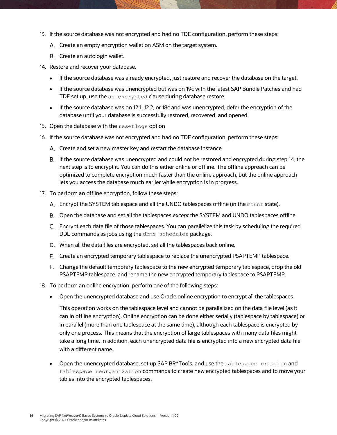- 13. If the source database was not encrypted and had no TDE configuration, perform these steps:
	- A. Create an empty encryption wallet on ASM on the target system.
	- B. Create an autologin wallet.
- 14. Restore and recover your database.
	- If the source database was already encrypted, just restore and recover the database on the target.
	- If the source database was unencrypted but was on 19c with the latest SAP Bundle Patches and had TDE set up, use the as encrypted clause during database restore.
	- If the source database was on 12.1, 12.2, or 18c and was unencrypted, defer the encryption of the database until your database is successfully restored, recovered, and opened.
- 15. Open the database with the resetlogs option
- 16. If the source database was not encrypted and had no TDE configuration, perform these steps:
	- Create and set a new master key and restart the database instance.
	- If the source database was unencrypted and could not be restored and encrypted during step 14, the next step is to encrypt it. You can do this either online or offline. The offline approach can be optimized to complete encryption much faster than the online approach, but the online approach lets you access the database much earlier while encryption is in progress.
- 17. To perform an offline encryption, follow these steps:
	- Encrypt the SYSTEM tablespace and all the UNDO tablespaces offline (in the mount state).
	- Open the database and set all the tablespaces *except* the SYSTEM and UNDO tablespaces offline.
	- Encrypt each data file of those tablespaces. You can parallelize this task by scheduling the required DDL commands as jobs using the dbms scheduler package.
	- When all the data files are encrypted, set all the tablespaces back online.
	- Create an encrypted temporary tablespace to replace the unencrypted PSAPTEMP tablespace.
	- Change the default temporary tablespace to the new encrypted temporary tablespace, drop the old PSAPTEMP tablespace, and rename the new encrypted temporary tablespace to PSAPTEMP.
- 18. To perform an online encryption, perform one of the following steps:
	- Open the unencrypted database and use Oracle online encryption to encrypt all the tablespaces.

This operation works on the tablespace level and cannot be parallelized on the data file level (as it can in offline encryption). Online encryption can be done either serially (tablespace by tablespace) or in parallel (more than one tablespace at the same time), although each tablespace is encrypted by only one process. This means that the encryption of large tablespaces with many data files might take a long time. In addition, each unencrypted data file is encrypted into a new encrypted data file with a different name.

• Open the unencrypted database, set up SAP BR\*Tools, and use the tablespace creation and tablespace reorganization commands to create new encrypted tablespaces and to move your tables into the encrypted tablespaces.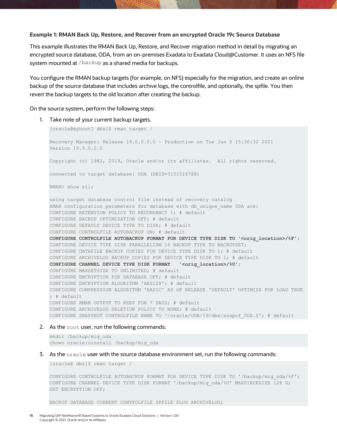#### **Example 1: RMAN Back Up, Restore, and Recover from an encrypted Oracle 19c Source Database**

This example illustrates the RMAN Back Up, Restore, and Recover migration method in detail by migrating an encrypted source database, ODA, from an on-premises Exadata to Exadata Cloud@Customer. It uses an NFS file system mounted at /backup as a shared media for backups.

You configure the RMAN backup targets (for example, on NFS) especially for the migration, and create an online backup of the source database that includes archive logs, the controlfile, and optionally, the spfile. You then revert the backup targets to the old location after creating the backup.

On the source system, perform the following steps:

1. Take note of your current backup targets.

```
[oracle@myhost1 dbs]$ rman target /
Recovery Manager: Release 19.0.0.0.0 - Production on Tue Jan 5 15:30:32 2021
Version 19.9.0.0.0
Copyright (c) 1982, 2019, Oracle and/or its affiliates. All rights reserved.
connected to target database: ODA (DBID=3151516788)
RMAN> show all;
using target database control file instead of recovery catalog
RMAN configuration parameters for database with db unique name ODA are:
CONFIGURE RETENTION POLICY TO REDUNDANCY 1; # default
CONFIGURE BACKUP OPTIMIZATION OFF; # default
CONFIGURE DEFAULT DEVICE TYPE TO DISK; # default
CONFIGURE CONTROLFILE AUTOBACKUP ON; # default
CONFIGURE CONTROLFILE AUTOBACKUP FORMAT FOR DEVICE TYPE DISK TO '<orig location>/%F';
CONFIGURE DEVICE TYPE DISK PARALLELISM 16 BACKUP TYPE TO BACKUPSET;
CONFIGURE DATAFILE BACKUP COPIES FOR DEVICE TYPE DISK TO 1; # default
CONFIGURE ARCHIVELOG BACKUP COPIES FOR DEVICE TYPE DISK TO 1; # default
CONFIGURE CHANNEL DEVICE TYPE DISK FORMAT '<orig_location>/%U';
CONFIGURE MAXSETSIZE TO UNLIMITED; # default
CONFIGURE ENCRYPTION FOR DATABASE OFF; # default
CONFIGURE ENCRYPTION ALGORITHM 'AES128'; # default
CONFIGURE COMPRESSION ALGORITHM 'BASIC' AS OF RELEASE 'DEFAULT' OPTIMIZE FOR LOAD TRUE 
; # default
CONFIGURE RMAN OUTPUT TO KEEP FOR 7 DAYS; # default
CONFIGURE ARCHIVELOG DELETION POLICY TO NONE; # default
CONFIGURE SNAPSHOT CONTROLFILE NAME TO '/oracle/ODA/19/dbs/snapcf_ODA.f'; # default
```
#### 2. As the root user, run the following commands:

mkdir /backup/mig\_oda chown oracle:oinstall /backup/mig\_oda

3. As the oracle user with the source database environment set, run the following commands:

[oracle@ dbs]\$ rman target /

CONFIGURE CONTROLFILE AUTOBACKUP FORMAT FOR DEVICE TYPE DISK TO '/backup/mig\_oda/%F'; CONFIGURE CHANNEL DEVICE TYPE DISK FORMAT '/backup/mig\_oda/%U' MAXPIECESIZE 128 G; SET ENCRYPTION OFF;

BACKUP DATABASE CURRENT CONTFOLFILE SPFILE PLUS ARCHIVELOG;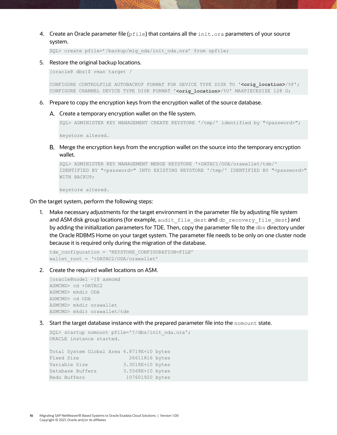4. Create an Oracle parameter file ( $pfile$ ) that contains all the  $init.org$  aparameters of your source system.

SQL> create pfile='/backup/mig\_oda/init\_oda.ora' from spfile;

5. Restore the original backup locations.

[oracle@ dbs]\$ rman target /

CONFIGURE CONTROLFILE AUTOBACKUP FORMAT FOR DEVICE TYPE DISK TO '**<orig\_location>**/%F'; CONFIGURE CHANNEL DEVICE TYPE DISK FORMAT '**<orig\_location>**/%U' MAXPIECESIZE 128 G;

- 6. Prepare to copy the encryption keys from the encryption wallet of the source database.
	- A. Create a temporary encryption wallet on the file system.

```
SQL> ADMINISTER KEY MANAGEMENT CREATE KEYSTORE '/tmp/' identified by "<password>";
```
keystore altered.

Merge the encryption keys from the encryption wallet on the source into the temporary encryption wallet.

```
SQL> ADMINISTER KEY MANAGEMENT MERGE KEYSTORE '+DATAC1/ODA/orawallet/tde/' 
IDENTIFIED BY "<password>" INTO EXISTING KEYSTORE '/tmp/' IDENTIFIED BY "<password>" 
WITH BACKUP;
```
keystore altered.

On the target system, perform the following steps:

1. Make necessary adjustments for the target environment in the parameter file by adjusting file system and ASM disk group locations (for example, audit file dest and db recovery file dest) and by adding the initialization parameters for TDE. Then, copy the parameter file to the dbs directory under the Oracle RDBMS Home on your target system. The parameter file needs to be only on one cluster node because it is required only during the migration of the database.

```
tde_configuration = 'KEYSTORE_CONFIGURATION=FILE'
wallet root = '+DATAC2/ODA/orawallet'
```
2. Create the required wallet locations on ASM.

```
[oracle@node1 ~]$ asmcmd
ASMCMD> cd +DATAC2
ASMCMD> mkdir ODA
ASMCMD> cd ODA
ASMCMD> mkdir orawallet
ASMCMD> mkdir orawallet/tde
```
3. Start the target database instance with the prepared parameter file into the nomount state.

```
SQL> startup nomount pfile='?/dbs/init_oda.ora';
ORACLE instance started.
Total System Global Area 6.8719E+10 bytes
Fixed Size 26611816 bytes
Variable Size 3.3018E+10 bytes
Database Buffers 3.5568E+10 bytes
Redo Buffers 107601920 bytes
```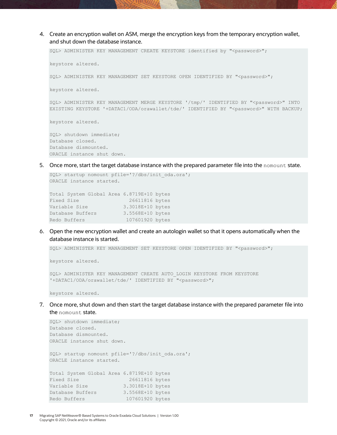4. Create an encryption wallet on ASM, merge the encryption keys from the temporary encryption wallet, and shut down the database instance.

SQL> ADMINISTER KEY MANAGEMENT CREATE KEYSTORE identified by "<password>"; keystore altered. SQL> ADMINISTER KEY MANAGEMENT SET KEYSTORE OPEN IDENTIFIED BY "<password>"; keystore altered. SQL> ADMINISTER KEY MANAGEMENT MERGE KEYSTORE '/tmp/' IDENTIFIED BY "<password>" INTO EXISTING KEYSTORE '+DATAC1/ODA/orawallet/tde/' IDENTIFIED BY "<password>" WITH BACKUP; keystore altered. SQL> shutdown immediate; Database closed.

Database dismounted. ORACLE instance shut down.

5. Once more, start the target database instance with the prepared parameter file into the nomount state.

```
SQL> startup nomount pfile='?/dbs/init_oda.ora';
ORACLE instance started.
```
Total System Global Area 6.8719E+10 bytes Fixed Size 26611816 bytes Variable Size 3.3018E+10 bytes Database Buffers 3.5568E+10 bytes Redo Buffers 107601920 bytes

6. Open the new encryption wallet and create an autologin wallet so that it opens automatically when the database instance is started.

SQL> ADMINISTER KEY MANAGEMENT SET KEYSTORE OPEN IDENTIFIED BY "<password>";

keystore altered.

SQL> ADMINISTER KEY MANAGEMENT CREATE AUTO\_LOGIN KEYSTORE FROM KEYSTORE '+DATAC1/ODA/orawallet/tde/' IDENTIFIED BY "<password>";

keystore altered.

7. Once more, shut down and then start the target database instance with the prepared parameter file into the nomount state.

```
SQL> shutdown immediate;
Database closed.
Database dismounted.
ORACLE instance shut down.
SQL> startup nomount pfile='?/dbs/init_oda.ora';
ORACLE instance started.
Total System Global Area 6.8719E+10 bytes
Fixed Size 26611816 bytes
Variable Size 3.3018E+10 bytes
Database Buffers 3.5568E+10 bytes
Redo Buffers 107601920 bytes
```
**17** Migrating SAP NetWeaver® Based Systems to Oracle Exadata Cloud Solutions | Version 1.00 Copyright © 2021, Oracle and/or its affiliates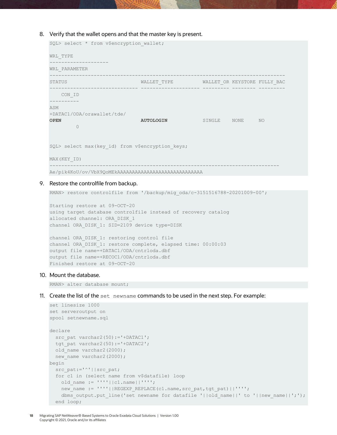#### 8. Verify that the wallet opens and that the master key is present.

```
SQL> select * from v$encryption wallet;
WRL_TYPE
--------------------
WRL_PARAMETER
--------------------------------------------------------------------------------
STATUS WALLET_TYPE WALLET WALLET WALLET OR KEYSTORE FULLY BAC
------------------------------ -------------------- --------- -------- ---------
  CON_ID
----------
ASM
+DATAC1/ODA/orawallet/tde/
OPEN AUTOLOGIN SINGLE NONE NO
        \bigcapSQL> select max(key id) from v$encryption keys;
MAX(KEY_ID)
------------------------------------------------------------------------------
Ae/pik4KoU/ov/VbX9QoMEkAAAAAAAAAAAAAAAAAAAAAAAAAAAAA
```
#### 9. Restore the controlfile from backup.

RMAN> restore controlfile from '/backup/mig\_oda/c-3151516788-20201009-00';

```
Starting restore at 09-OCT-20
using target database controlfile instead of recovery catalog
allocated channel: ORA_DISK_1
channel ORA_DISK_1: SID=2109 device type=DISK
```

```
channel ORA_DISK_1: restoring control file
channel ORA_DISK_1: restore complete, elapsed time: 00:00:03
output file name=+DATAC1/ODA/cntrloda.dbf
output file name=+RECOC1/ODA/cntrloda.dbf
Finished restore at 09-OCT-20
```
#### 10. Mount the database.

RMAN> alter database mount;

11. Create the list of the set newname commands to be used in the next step. For example:

```
set linesize 1000
set serveroutput on
spool setnewname.sql
declare
 src pat varchar2(50):='+DATAC1';
 tgt pat varchar2(50):='+DATAC2';
 old name varchar2(2000);
 new name varchar2(2000);
begin
 src_pat:='^'||src_pat;
  for c1 in (select name from v$datafile) loop
   old name := ''''||c1.name||'''';
   new name := ''''||REGEXP_REPLACE(c1.name, src_pat, tgt_pat)||'''';
   dbms output.put line('set newname for datafile '||old_name||' to '||new_name||';');
   end loop;
```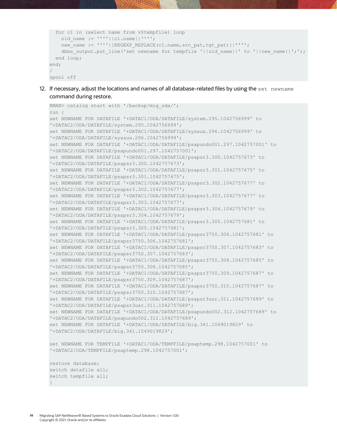```
 for c1 in (select name from v$tempfile) loop
   old name := ''''||c1.name||'''';
   new name := ''''||REGEXP_REPLACE(c1.name, src_pat, tgt_pat)||'''';
    dbms output.put line('set newname for tempfile '||old name||' to '||new name||';');
  end loop; 
end;
/
spool off
```
12. If necessary, adjust the locations and names of all database-related files by using the set newname command during restore.

```
RMAN> catalog start with '/backup/mig_oda/';
run {
set NEWNAME FOR DATAFILE '+DATAC1/ODA/DATAFILE/system.295.1042756999' to 
'+DATAC2/ODA/DATAFILE/system.295.1042756999';
set NEWNAME FOR DATAFILE '+DATAC1/ODA/DATAFILE/sysaux.296.1042756999' to 
'+DATAC2/ODA/DATAFILE/sysaux.296.1042756999';
set NEWNAME FOR DATAFILE '+DATAC1/ODA/DATAFILE/psapundo001.297.1042757001' to 
'+DATAC2/ODA/DATAFILE/psapundo001.297.1042757001';
set NEWNAME FOR DATAFILE '+DATAC1/ODA/DATAFILE/psapsr3.300.1042757673' to 
'+DATAC2/ODA/DATAFILE/psapsr3.300.1042757673';
set NEWNAME FOR DATAFILE '+DATAC1/ODA/DATAFILE/psapsr3.301.1042757675' to 
'+DATAC2/ODA/DATAFILE/psapsr3.301.1042757675';
set NEWNAME FOR DATAFILE '+DATAC1/ODA/DATAFILE/psapsr3.302.1042757677' to 
'+DATAC2/ODA/DATAFILE/psapsr3.302.1042757677';
set NEWNAME FOR DATAFILE '+DATAC1/ODA/DATAFILE/psapsr3.303.1042757677' to
'+DATAC2/ODA/DATAFILE/psapsr3.303.1042757677';
set NEWNAME FOR DATAFILE '+DATAC1/ODA/DATAFILE/psapsr3.304.1042757679' to
'+DATAC2/ODA/DATAFILE/psapsr3.304.1042757679';
set NEWNAME FOR DATAFILE '+DATAC1/ODA/DATAFILE/psapsr3.305.1042757681' to 
'+DATAC2/ODA/DATAFILE/psapsr3.305.1042757681';
set NEWNAME FOR DATAFILE '+DATAC1/ODA/DATAFILE/psapsr3750.306.1042757681' to 
'+DATAC2/ODA/DATAFILE/psapsr3750.306.1042757681';
set NEWNAME FOR DATAFILE '+DATAC1/ODA/DATAFILE/psapsr3750.307.1042757683' to 
'+DATAC2/ODA/DATAFILE/psapsr3750.307.1042757683';
set NEWNAME FOR DATAFILE '+DATAC1/ODA/DATAFILE/psapsr3750.308.1042757685' to 
'+DATAC2/ODA/DATAFILE/psapsr3750.308.1042757685';
set NEWNAME FOR DATAFILE '+DATAC1/ODA/DATAFILE/psapsr3750.309.1042757687' to 
'+DATAC2/ODA/DATAFILE/psapsr3750.309.1042757687';
set NEWNAME FOR DATAFILE '+DATAC1/ODA/DATAFILE/psapsr3750.310.1042757687' to 
'+DATAC2/ODA/DATAFILE/psapsr3750.310.1042757687';
set NEWNAME FOR DATAFILE '+DATAC1/ODA/DATAFILE/psapsr3usr.311.1042757689' to 
'+DATAC2/ODA/DATAFILE/psapsr3usr.311.1042757689';
set NEWNAME FOR DATAFILE '+DATAC1/ODA/DATAFILE/psapundo002.312.1042757689' to 
'+DATAC2/ODA/DATAFILE/psapundo002.312.1042757689';
set NEWNAME FOR DATAFILE '+DATAC1/ODA/DATAFILE/big.341.1049019829' to 
'+DATAC2/ODA/DATAFILE/big.341.1049019829';
set NEWNAME FOR TEMPFILE '+DATAC1/ODA/TEMPFILE/psaptemp.298.1042757001' to 
'+DATAC2/ODA/TEMPFILE/psaptemp.298.1042757001';
restore database;
switch datafile all;
```

```
19 Migrating SAP NetWeaver® Based Systems to Oracle Exadata Cloud Solutions | Version 1.00
      Copyright © 2021, Oracle and/or its affiliates
```
switch tempfile all;

}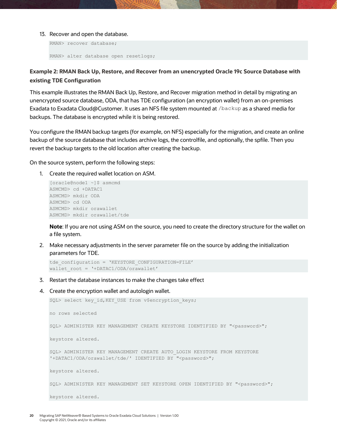#### 13. Recover and open the database.

```
RMAN> recover database;
RMAN> alter database open resetlogs;
```
## **Example 2: RMAN Back Up, Restore, and Recover from an unencrypted Oracle 19c Source Database with existing TDE Configuration**

This example illustrates the RMAN Back Up, Restore, and Recover migration method in detail by migrating an unencrypted source database, ODA, that has TDE configuration (an encryption wallet) from an on-premises Exadata to Exadata Cloud@Customer. It uses an NFS file system mounted at /backup as a shared media for backups. The database is encrypted while it is being restored.

You configure the RMAN backup targets (for example, on NFS) especially for the migration, and create an online backup of the source database that includes archive logs, the controlfile, and optionally, the spfile. Then you revert the backup targets to the old location after creating the backup.

On the source system, perform the following steps:

1. Create the required wallet location on ASM.

```
[oracle@node1 ~]$ asmcmd
ASMCMD> cd +DATAC1
ASMCMD> mkdir ODA
ASMCMD> cd ODA
ASMCMD> mkdir orawallet
ASMCMD> mkdir orawallet/tde
```
**Note**: If you are not using ASM on the source, you need to create the directory structure for the wallet on a file system.

2. Make necessary adjustments in the server parameter file on the source by adding the initialization parameters for TDE.

```
tde_configuration = 'KEYSTORE_CONFIGURATION=FILE'
wallet root = '+DATAC1/ODA/orawallet'
```
- 3. Restart the database instances to make the changes take effect
- 4. Create the encryption wallet and autologin wallet.

```
SQL> select key id, KEY USE from v$encryption keys;
no rows selected
SQL> ADMINISTER KEY MANAGEMENT CREATE KEYSTORE IDENTIFIED BY "<password>";
keystore altered.
SQL> ADMINISTER KEY MANAGEMENT CREATE AUTO_LOGIN KEYSTORE FROM KEYSTORE 
'+DATAC1/ODA/orawallet/tde/' IDENTIFIED BY "<password>";
keystore altered.
SQL> ADMINISTER KEY MANAGEMENT SET KEYSTORE OPEN IDENTIFIED BY "<password>";
keystore altered.
```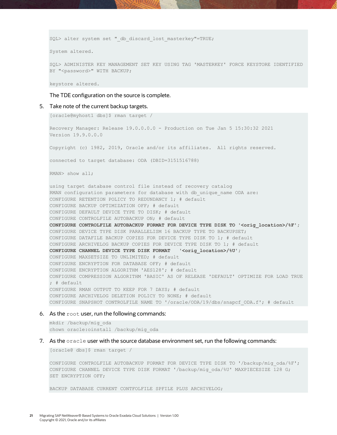SQL> alter system set " db discard lost masterkey"=TRUE;

System altered.

SQL> ADMINISTER KEY MANAGEMENT SET KEY USING TAG 'MASTERKEY' FORCE KEYSTORE IDENTIFIED BY "<password>" WITH BACKUP;

keystore altered.

The TDE configuration on the source is complete.

5. Take note of the current backup targets.

```
[oracle@myhost1 dbs]$ rman target /
Recovery Manager: Release 19.0.0.0.0 - Production on Tue Jan 5 15:30:32 2021
Version 19.9.0.0.0
Copyright (c) 1982, 2019, Oracle and/or its affiliates. All rights reserved.
connected to target database: ODA (DBID=3151516788)
RMAN> show all;
using target database control file instead of recovery catalog
RMAN configuration parameters for database with db unique name ODA are:
CONFIGURE RETENTION POLICY TO REDUNDANCY 1; # default
CONFIGURE BACKUP OPTIMIZATION OFF; # default
CONFIGURE DEFAULT DEVICE TYPE TO DISK; # default
CONFIGURE CONTROLFILE AUTOBACKUP ON; # default
CONFIGURE CONTROLFILE AUTOBACKUP FORMAT FOR DEVICE TYPE DISK TO '<orig_location>/%F';
CONFIGURE DEVICE TYPE DISK PARALLELISM 16 BACKUP TYPE TO BACKUPSET;
CONFIGURE DATAFILE BACKUP COPIES FOR DEVICE TYPE DISK TO 1; # default
CONFIGURE ARCHIVELOG BACKUP COPIES FOR DEVICE TYPE DISK TO 1; # default
CONFIGURE CHANNEL DEVICE TYPE DISK FORMAT '<orig location>/%U';
CONFIGURE MAXSETSIZE TO UNLIMITED; # default
CONFIGURE ENCRYPTION FOR DATABASE OFF; # default
CONFIGURE ENCRYPTION ALGORITHM 'AES128'; # default
CONFIGURE COMPRESSION ALGORITHM 'BASIC' AS OF RELEASE 'DEFAULT' OPTIMIZE FOR LOAD TRUE 
: \# default
CONFIGURE RMAN OUTPUT TO KEEP FOR 7 DAYS; # default
CONFIGURE ARCHIVELOG DELETION POLICY TO NONE; # default
CONFIGURE SNAPSHOT CONTROLFILE NAME TO '/oracle/ODA/19/dbs/snapcf_ODA.f'; # default
```
#### 6. As the root user, run the following commands:

mkdir /backup/mig\_oda chown oracle:oinstall /backup/mig\_oda

7. As the oracle user with the source database environment set, run the following commands:

[oracle@ dbs]\$ rman target /

CONFIGURE CONTROLFILE AUTOBACKUP FORMAT FOR DEVICE TYPE DISK TO '/backup/mig\_oda/%F'; CONFIGURE CHANNEL DEVICE TYPE DISK FORMAT '/backup/mig\_oda/%U' MAXPIECESIZE 128 G; SET ENCRYPTION OFF;

BACKUP DATABASE CURRENT CONTFOLFILE SPFILE PLUS ARCHIVELOG;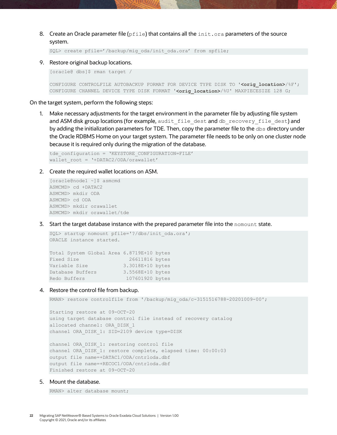8. Create an Oracle parameter file ( $pfile$ ) that contains all the init.ora parameters of the source system.

SQL> create pfile='/backup/mig\_oda/init\_oda.ora' from spfile;

9. Restore original backup locations.

[oracle@ dbs]\$ rman target /

CONFIGURE CONTROLFILE AUTOBACKUP FORMAT FOR DEVICE TYPE DISK TO '**<orig\_location>**/%F'; CONFIGURE CHANNEL DEVICE TYPE DISK FORMAT '**<orig\_location>**/%U' MAXPIECESIZE 128 G;

On the target system, perform the following steps:

1. Make necessary adjustments for the target environment in the parameter file by adjusting file system and ASM disk group locations (for example, audit file dest and db recovery file dest) and by adding the initialization parameters for TDE. Then, copy the parameter file to the dbs directory under the Oracle RDBMS Home on your target system. The parameter file needs to be only on one cluster node because it is required only during the migration of the database.

```
tde_configuration = 'KEYSTORE_CONFIGURATION=FILE'
wallet root = '+DATAC2/ODA/orawallet'
```
2. Create the required wallet locations on ASM.

[oracle@node1 ~]\$ asmcmd ASMCMD> cd +DATAC2 ASMCMD> mkdir ODA ASMCMD> cd ODA ASMCMD> mkdir orawallet ASMCMD> mkdir orawallet/tde

3. Start the target database instance with the prepared parameter file into the nomount state.

```
SQL> startup nomount pfile='?/dbs/init_oda.ora';
ORACLE instance started.
Total System Global Area 6.8719E+10 bytes
Fixed Size 26611816 bytes
Variable Size 3.3018E+10 bytes
Database Buffers 3.5568E+10 bytes
Redo Buffers 107601920 bytes
```
#### 4. Restore the control file from backup.

RMAN> restore controlfile from '/backup/mig\_oda/c-3151516788-20201009-00';

Starting restore at 09-OCT-20 using target database control file instead of recovery catalog allocated channel: ORA\_DISK\_1 channel ORA\_DISK\_1: SID=2109 device type=DISK

```
channel ORA_DISK_1: restoring control file
channel ORA_DISK_1: restore complete, elapsed time: 00:00:03
output file name=+DATAC1/ODA/cntrloda.dbf
output file name=+RECOC1/ODA/cntrloda.dbf
Finished restore at 09-OCT-20
```
#### 5. Mount the database.

RMAN> alter database mount;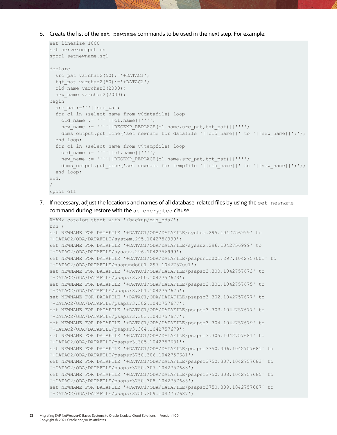6. Create the list of the set newname commands to be used in the next step. For example:

```
set linesize 1000
set serveroutput on
spool setnewname.sql
declare
 src pat varchar2(50):='+DATAC1';
 tgt pat varchar2(50):='+DATAC2';
 old name varchar2(2000);
 new name varchar2(2000);
begin
 src_pat:='^'||src_pat;
  for c1 in (select name from v$datafile) loop
   old name := ''''||c1.name||'''';
   new_name := ''''||REGEXP_REPLACE(c1.name,src_pat,tgt_pat)||'''';
   dbms output.put line('set newname for datafile '||old_name||' to '||new_name||';');
  end loop;
  for c1 in (select name from v$tempfile) loop
  old name := ''''||c1.name||'''';
   new_name := ''''||REGEXP_REPLACE(c1.name,src_pat,tgt_pat)||'''';
   dbms output.put line('set newname for tempfile '||old name||' to '||new name||';');
  end loop; 
end;
/
spool off
```
7. If necessary, adjust the locations and names of all database-related files by using the set newname command during restore with the as encrypted clause.

```
RMAN> catalog start with '/backup/mig_oda/';
run {
set NEWNAME FOR DATAFILE '+DATAC1/ODA/DATAFILE/system.295.1042756999' to 
'+DATAC2/ODA/DATAFILE/system.295.1042756999';
set NEWNAME FOR DATAFILE '+DATAC1/ODA/DATAFILE/sysaux.296.1042756999' to 
'+DATAC2/ODA/DATAFILE/sysaux.296.1042756999';
set NEWNAME FOR DATAFILE '+DATAC1/ODA/DATAFILE/psapundo001.297.1042757001' to 
'+DATAC2/ODA/DATAFILE/psapundo001.297.1042757001';
set NEWNAME FOR DATAFILE '+DATAC1/ODA/DATAFILE/psapsr3.300.1042757673' to
'+DATAC2/ODA/DATAFILE/psapsr3.300.1042757673';
set NEWNAME FOR DATAFILE '+DATAC1/ODA/DATAFILE/psapsr3.301.1042757675' to 
'+DATAC2/ODA/DATAFILE/psapsr3.301.1042757675';
set NEWNAME FOR DATAFILE '+DATAC1/ODA/DATAFILE/psapsr3.302.1042757677' to 
'+DATAC2/ODA/DATAFILE/psapsr3.302.1042757677';
set NEWNAME FOR DATAFILE '+DATAC1/ODA/DATAFILE/psapsr3.303.1042757677' to 
'+DATAC2/ODA/DATAFILE/psapsr3.303.1042757677';
set NEWNAME FOR DATAFILE '+DATAC1/ODA/DATAFILE/psapsr3.304.1042757679' to 
'+DATAC2/ODA/DATAFILE/psapsr3.304.1042757679';
set NEWNAME FOR DATAFILE '+DATAC1/ODA/DATAFILE/psapsr3.305.1042757681' to 
'+DATAC2/ODA/DATAFILE/psapsr3.305.1042757681';
set NEWNAME FOR DATAFILE '+DATAC1/ODA/DATAFILE/psapsr3750.306.1042757681' to 
'+DATAC2/ODA/DATAFILE/psapsr3750.306.1042757681';
set NEWNAME FOR DATAFILE '+DATAC1/ODA/DATAFILE/psapsr3750.307.1042757683' to 
'+DATAC2/ODA/DATAFILE/psapsr3750.307.1042757683';
set NEWNAME FOR DATAFILE '+DATAC1/ODA/DATAFILE/psapsr3750.308.1042757685' to 
'+DATAC2/ODA/DATAFILE/psapsr3750.308.1042757685';
set NEWNAME FOR DATAFILE '+DATAC1/ODA/DATAFILE/psapsr3750.309.1042757687' to 
'+DATAC2/ODA/DATAFILE/psapsr3750.309.1042757687';
```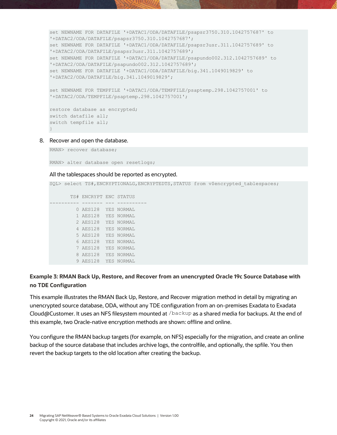```
set NEWNAME FOR DATAFILE '+DATAC1/ODA/DATAFILE/psapsr3750.310.1042757687' to 
'+DATAC2/ODA/DATAFILE/psapsr3750.310.1042757687';
set NEWNAME FOR DATAFILE '+DATAC1/ODA/DATAFILE/psapsr3usr.311.1042757689' to 
'+DATAC2/ODA/DATAFILE/psapsr3usr.311.1042757689';
set NEWNAME FOR DATAFILE '+DATAC1/ODA/DATAFILE/psapundo002.312.1042757689' to 
'+DATAC2/ODA/DATAFILE/psapundo002.312.1042757689';
set NEWNAME FOR DATAFILE '+DATAC1/ODA/DATAFILE/big.341.1049019829' to 
'+DATAC2/ODA/DATAFILE/big.341.1049019829';
set NEWNAME FOR TEMPFILE '+DATAC1/ODA/TEMPFILE/psaptemp.298.1042757001' to 
'+DATAC2/ODA/TEMPFILE/psaptemp.298.1042757001';
restore database as encrypted;
switch datafile all;
switch tempfile all;
```

```
}
```
8. Recover and open the database.

RMAN> recover database;

RMAN> alter database open resetlogs;

#### All the tablespaces should be reported as encrypted.

SQL> select TS#,ENCRYPTIONALG,ENCRYPTEDTS,STATUS from v\$encrypted\_tablespaces;

```
 TS# ENCRYPT ENC STATUS
---------- ------- --- ----------
         0 AES128 YES NORMAL
         1 AES128 YES NORMAL
         2 AES128 YES NORMAL
         4 AES128 YES NORMAL
         5 AES128 YES NORMAL
         6 AES128 YES NORMAL
         7 AES128 YES NORMAL
         8 AES128 YES NORMAL
         9 AES128 YES NORMAL
```
## **Example 3: RMAN Back Up, Restore, and Recover from an unencrypted Oracle 19c Source Database with no TDE Configuration**

This example illustrates the RMAN Back Up, Restore, and Recover migration method in detail by migrating an unencrypted source database, ODA, without any TDE configuration from an on-premises Exadata to Exadata Cloud@Customer. It uses an NFS filesystem mounted at /backup as a shared media for backups. At the end of this example, two Oracle-native encryption methods are shown: offline and online.

You configure the RMAN backup targets (for example, on NFS) especially for the migration, and create an online backup of the source database that includes archive logs, the controlfile, and optionally, the spfile. You then revert the backup targets to the old location after creating the backup.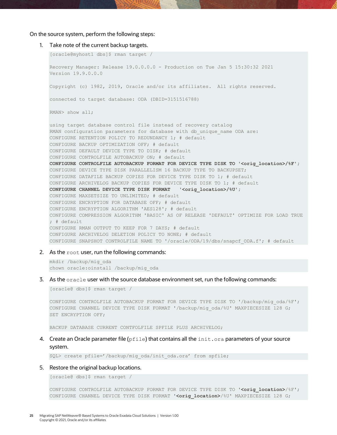#### On the source system, perform the following steps:

```
1. Take note of the current backup targets.
   [oracle@myhost1 dbs]$ rman target /
   Recovery Manager: Release 19.0.0.0.0 - Production on Tue Jan 5 15:30:32 2021
   Version 19.9.0.0.0
   Copyright (c) 1982, 2019, Oracle and/or its affiliates. All rights reserved.
   connected to target database: ODA (DBID=3151516788)
   RMAN> show all;
   using target database control file instead of recovery catalog
   RMAN configuration parameters for database with db unique name ODA are:
   CONFIGURE RETENTION POLICY TO REDUNDANCY 1; # default
   CONFIGURE BACKUP OPTIMIZATION OFF; # default
   CONFIGURE DEFAULT DEVICE TYPE TO DISK; # default
   CONFIGURE CONTROLFILE AUTOBACKUP ON; # default
   CONFIGURE CONTROLFILE AUTOBACKUP FORMAT FOR DEVICE TYPE DISK TO '<orig_location>/%F';
   CONFIGURE DEVICE TYPE DISK PARALLELISM 16 BACKUP TYPE TO BACKUPSET;
   CONFIGURE DATAFILE BACKUP COPIES FOR DEVICE TYPE DISK TO 1; # default
   CONFIGURE ARCHIVELOG BACKUP COPIES FOR DEVICE TYPE DISK TO 1; # default
   CONFIGURE CHANNEL DEVICE TYPE DISK FORMAT '<orig location>/%U';
   CONFIGURE MAXSETSIZE TO UNLIMITED; # default
   CONFIGURE ENCRYPTION FOR DATABASE OFF; # default
   CONFIGURE ENCRYPTION ALGORITHM 'AES128'; # default
   CONFIGURE COMPRESSION ALGORITHM 'BASIC' AS OF RELEASE 'DEFAULT' OPTIMIZE FOR LOAD TRUE 
   ; # default
   CONFIGURE RMAN OUTPUT TO KEEP FOR 7 DAYS; # default
   CONFIGURE ARCHIVELOG DELETION POLICY TO NONE; # default
   CONFIGURE SNAPSHOT CONTROLFILE NAME TO '/oracle/ODA/19/dbs/snapcf_ODA.f'; # default
```
#### 2. As the root user, run the following commands:

mkdir /backup/mig\_oda chown oracle:oinstall /backup/mig\_oda

#### 3. As the oracle user with the source database environment set, run the following commands:

[oracle@ dbs]\$ rman target /

CONFIGURE CONTROLFILE AUTOBACKUP FORMAT FOR DEVICE TYPE DISK TO '/backup/mig\_oda/%F'; CONFIGURE CHANNEL DEVICE TYPE DISK FORMAT '/backup/mig\_oda/%U' MAXPIECESIZE 128 G; SET ENCRYPTION OFF;

BACKUP DATABASE CURRENT CONTFOLFILE SPFILE PLUS ARCHIVELOG;

#### 4. Create an Oracle parameter file ( $pfile$ ) that contains all the  $init.org$  aparameters of your source system.

SQL> create pfile='/backup/mig\_oda/init\_oda.ora' from spfile;

#### 5. Restore the original backup locations.

[oracle@ dbs]\$ rman target /

CONFIGURE CONTROLFILE AUTOBACKUP FORMAT FOR DEVICE TYPE DISK TO '**<orig\_location>**/%F'; CONFIGURE CHANNEL DEVICE TYPE DISK FORMAT '**<orig\_location>**/%U' MAXPIECESIZE 128 G;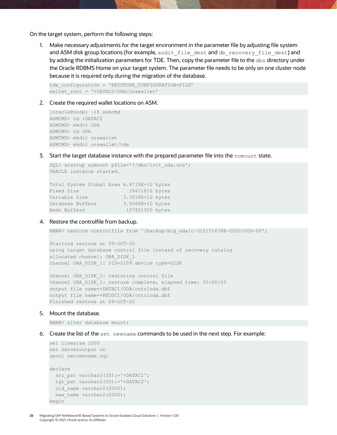On the target system, perform the following steps:

1. Make necessary adjustments for the target environment in the parameter file by adjusting file system and ASM disk group locations (for example, audit file dest and db recovery file dest) and by adding the initialization parameters for TDE. Then, copy the parameter file to the dbs directory under the Oracle RDBMS Home on your target system. The parameter file needs to be only on one cluster node because it is required only during the migration of the database.

```
tde_configuration = 'KEYSTORE_CONFIGURATION=FILE'
wallet root = '+DATAC2/ODA/orawallet'
```
2. Create the required wallet locations on ASM.

```
[oracle@node1 ~]$ asmcmd
ASMCMD> cd +DATAC2
ASMCMD> mkdir ODA
ASMCMD> cd ODA
ASMCMD> mkdir orawallet
ASMCMD> mkdir orawallet/tde
```
3. Start the target database instance with the prepared parameter file into the nomount state.

```
SQL> startup nomount pfile='?/dbs/init_oda.ora';
ORACLE instance started.
Total System Global Area 6.8719E+10 bytes
Fixed Size 26611816 bytes
Variable Size 3.3018E+10 bytes
Database Buffers 3.5568E+10 bytes
Redo Buffers 107601920 bytes
```
#### 4. Restore the controlfile from backup.

RMAN> restore controlfile from '/backup/mig\_oda/c-3151516788-20201009-00';

Starting restore at 09-OCT-20 using target database control file instead of recovery catalog allocated channel: ORA\_DISK\_1 channel ORA\_DISK\_1: SID=2109 device type=DISK

channel ORA DISK 1: restoring control file channel ORA\_DISK\_1: restore complete, elapsed time: 00:00:03 output file name=+DATAC1/ODA/cntrloda.dbf output file name=+RECOC1/ODA/cntrloda.dbf Finished restore at 09-OCT-20

#### 5. Mount the database.

RMAN> alter database mount;

6. Create the list of the set newname commands to be used in the next step. For example:

```
set linesize 1000
set serveroutput on
spool setnewname.sql
declare
 src pat varchar2(50):='+DATAC1';
 tgt pat varchar2(50):='+DATAC2';
 old name varchar2(2000);
 new name varchar2(2000);
begin
```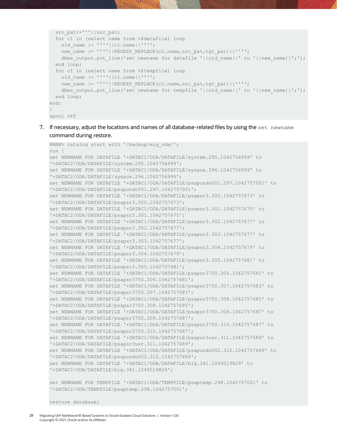```
src_pat:='^'||src_pat;
   for c1 in (select name from v$datafile) loop
   old name := ''''||c1.name||'''';
   new_name := ''''||REGEXP_REPLACE(c1.name,src_pat,tgt_pat)||'''';
   dbms output.put line('set newname for datafile '||old name||' to '||new name||';');
  end loop;
  for c1 in (select name from v$tempfile) loop
   old name := ''''||c1.name||'''';
   new_name := ''''||REGEXP_REPLACE(c1.name,src_pat,tgt_pat)||'''';
   dbms output.put line('set newname for tempfile '||old name||' to '||new name||';');
  end loop; 
end;
/
spool off
```
7. If necessary, adjust the locations and names of all database-related files by using the set newname command during restore.

```
RMAN> catalog start with '/backup/mig_oda/';
run {
set NEWNAME FOR DATAFILE '+DATAC1/ODA/DATAFILE/system.295.1042756999' to 
'+DATAC2/ODA/DATAFILE/system.295.1042756999';
set NEWNAME FOR DATAFILE '+DATAC1/ODA/DATAFILE/sysaux.296.1042756999' to 
'+DATAC2/ODA/DATAFILE/sysaux.296.1042756999';
set NEWNAME FOR DATAFILE '+DATAC1/ODA/DATAFILE/psapundo001.297.1042757001' to 
'+DATAC2/ODA/DATAFILE/psapundo001.297.1042757001';
set NEWNAME FOR DATAFILE '+DATAC1/ODA/DATAFILE/psapsr3.300.1042757673' to
'+DATAC2/ODA/DATAFILE/psapsr3.300.1042757673';
set NEWNAME FOR DATAFILE '+DATAC1/ODA/DATAFILE/psapsr3.301.1042757675' to 
'+DATAC2/ODA/DATAFILE/psapsr3.301.1042757675';
set NEWNAME FOR DATAFILE '+DATAC1/ODA/DATAFILE/psapsr3.302.1042757677' to 
'+DATAC2/ODA/DATAFILE/psapsr3.302.1042757677';
set NEWNAME FOR DATAFILE '+DATAC1/ODA/DATAFILE/psapsr3.303.1042757677' to 
'+DATAC2/ODA/DATAFILE/psapsr3.303.1042757677';
set NEWNAME FOR DATAFILE '+DATAC1/ODA/DATAFILE/psapsr3.304.1042757679' to 
'+DATAC2/ODA/DATAFILE/psapsr3.304.1042757679';
set NEWNAME FOR DATAFILE '+DATAC1/ODA/DATAFILE/psapsr3.305.1042757681' to 
'+DATAC2/ODA/DATAFILE/psapsr3.305.1042757681';
set NEWNAME FOR DATAFILE '+DATAC1/ODA/DATAFILE/psapsr3750.306.1042757681' to 
'+DATAC2/ODA/DATAFILE/psapsr3750.306.1042757681';
set NEWNAME FOR DATAFILE '+DATAC1/ODA/DATAFILE/psapsr3750.307.1042757683' to 
'+DATAC2/ODA/DATAFILE/psapsr3750.307.1042757683';
set NEWNAME FOR DATAFILE '+DATAC1/ODA/DATAFILE/psapsr3750.308.1042757685' to 
'+DATAC2/ODA/DATAFILE/psapsr3750.308.1042757685';
set NEWNAME FOR DATAFILE '+DATAC1/ODA/DATAFILE/psapsr3750.309.1042757687' to 
'+DATAC2/ODA/DATAFILE/psapsr3750.309.1042757687';
set NEWNAME FOR DATAFILE '+DATAC1/ODA/DATAFILE/psapsr3750.310.1042757687' to 
'+DATAC2/ODA/DATAFILE/psapsr3750.310.1042757687';
set NEWNAME FOR DATAFILE '+DATAC1/ODA/DATAFILE/psapsr3usr.311.1042757689' to 
'+DATAC2/ODA/DATAFILE/psapsr3usr.311.1042757689';
set NEWNAME FOR DATAFILE '+DATAC1/ODA/DATAFILE/psapundo002.312.1042757689' to 
'+DATAC2/ODA/DATAFILE/psapundo002.312.1042757689';
set NEWNAME FOR DATAFILE '+DATAC1/ODA/DATAFILE/big.341.1049019829' to 
'+DATAC2/ODA/DATAFILE/big.341.1049019829';
set NEWNAME FOR TEMPFILE '+DATAC1/ODA/TEMPFILE/psaptemp.298.1042757001' to
```

```
'+DATAC2/ODA/TEMPFILE/psaptemp.298.1042757001';
```
restore database;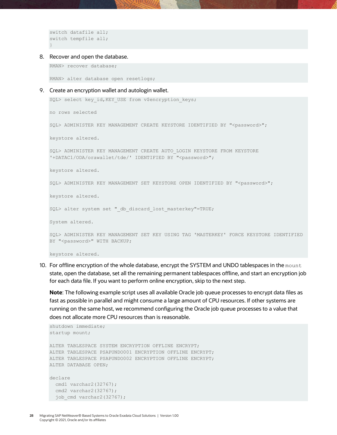```
switch datafile all;
switch tempfile all;
}
```
#### 8. Recover and open the database.

RMAN> recover database;

RMAN> alter database open resetlogs;

#### 9. Create an encryption wallet and autologin wallet.

```
SQL> select key id, KEY USE from v$encryption keys;
```
no rows selected

SQL> ADMINISTER KEY MANAGEMENT CREATE KEYSTORE IDENTIFIED BY "<password>";

keystore altered.

SQL> ADMINISTER KEY MANAGEMENT CREATE AUTO\_LOGIN KEYSTORE FROM KEYSTORE '+DATAC1/ODA/orawallet/tde/' IDENTIFIED BY "<password>";

keystore altered.

SQL> ADMINISTER KEY MANAGEMENT SET KEYSTORE OPEN IDENTIFIED BY "<password>";

keystore altered.

SQL> alter system set " db discard lost masterkey"=TRUE;

System altered.

SQL> ADMINISTER KEY MANAGEMENT SET KEY USING TAG 'MASTERKEY' FORCE KEYSTORE IDENTIFIED BY "<password>" WITH BACKUP;

keystore altered.

10. For offline encryption of the whole database, encrypt the SYSTEM and UNDO tablespaces in the mount state, open the database, set all the remaining permanent tablespaces offline, and start an encryption job for each data file. If you want to perform online encryption, skip to the next step.

**Note**: The following example script uses all available Oracle job queue processes to encrypt data files as fast as possible in parallel and might consume a large amount of CPU resources. If other systems are running on the same host, we recommend configuring the Oracle job queue processes to a value that does not allocate more CPU resources than is reasonable.

```
shutdown immediate;
startup mount;
ALTER TABLESPACE SYSTEM ENCRYPTION OFFLINE ENCRYPT;
ALTER TABLESPACE PSAPUNDO001 ENCRYPTION OFFLINE ENCRYPT;
ALTER TABLESPACE PSAPUNDO002 ENCRYPTION OFFLINE ENCRYPT;
ALTER DATABASE OPEN;
declare
 cmd1 varchar2(32767);
  cmd2 varchar2(32767);
 job cmd varchar2(32767);
```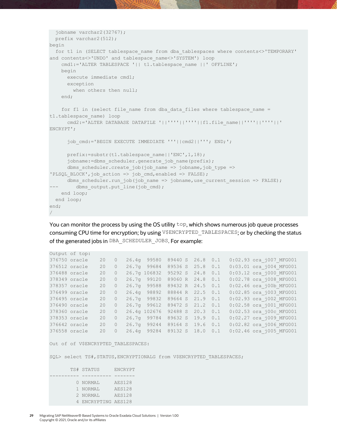```
 jobname varchar2(32767);
  prefix varchar2(512);
begin
 for t1 in (SELECT tablespace name from dba tablespaces where contents<>'TEMPORARY'
and contents<>'UNDO' and tablespace_name<>'SYSTEM') loop
   cmd1:='ALTER TABLESPACE '|| t1.tablespace name ||' OFFLINE';
    begin
      execute immediate cmd1;
      exception
       when others then null;
     end;
    for f1 in (select file name from dba data files where tablespace name =
t1.tablespace_name) loop
      cmd2:='ALTER DATABASE DATAFILE '||''''||''''||f1.file_name||''''||''''||' 
ENCRYPT';
       job_cmd:='BEGIN EXECUTE IMMEDIATE '''||cmd2||'''; END;';
      prefix:=substr(t1.tablespace_name||'ENC',1,18);
      jobname:=dbms scheduler.generate job name(prefix);
      dbms scheduler.create job(job name => jobname, job type =>
'PLSQL_BLOCK',job_action => job_cmd,enabled => FALSE);
      dbms_scheduler.run_job(job_name => jobname,use_current_session => FALSE);
--- dbms output.put line(job cmd);
   end loop;
  end loop;
end;
/
```
You can monitor the process by using the OS utility  $top$ , which shows numerous job queue processes consuming CPU time for encryption; by using V\$ENCRYPTED\_TABLESPACES; or by checking the status of the generated jobs in DBA\_SCHEDULER\_JOBS. For example:

| 376750 oracle | 20           | $\overline{\phantom{0}}$ | 26.4g 99580                   | 89440 S 26.8 0.1 |  |     | $0:02.93$ ora $\frac{1}{1007}$ MFG001 |
|---------------|--------------|--------------------------|-------------------------------|------------------|--|-----|---------------------------------------|
| 376512 oracle | 20           | $\circ$                  | 26.7q 99684 89536 S 25.8 0.1  |                  |  |     | 0:03.01 ora_j004 MFG001               |
| 376488 oracle | 20           | $\circ$                  | 26.7q 106832 95292 S 24.8     |                  |  | 0.1 | $0:03.12$ ora $\frac{1}{1000}$ MFG001 |
| 378349 oracle | 20           | $\circ$                  | 26.7q 99120                   | 89060 R 24.8     |  | 0.1 | 0:02.78 ora j008 MFG001               |
| 378357 oracle | 20           | $\circ$                  | 26.7q 99588                   | 89432 R 24.5 0.1 |  |     | 0:02.46 ora j00b MFG001               |
| 376499 oracle | 20           | $\Omega$                 | 26.4q 98892 88844 R 22.5 0.1  |                  |  |     | 0:02.85 ora j003 MFG001               |
| 376495 oracle | 20           | $\circ$                  | 26.7q 99832 89664 S 21.9 0.1  |                  |  |     | 0:02.93 ora_j002 MFG001               |
| 376490 oracle | $20^{\circ}$ | $\bigcirc$               | 26.7q 99612                   | 89472 S 21.2 0.1 |  |     | 0:02.58 ora j001 MFG001               |
| 378360 oracle | 20           | $\bigcirc$               | 26.4q 102676 92488 S 20.3 0.1 |                  |  |     | 0:02.53 ora j00c MFG001               |
| 378353 oracle | 20           | $\circ$                  | 26.7q 99784 89632 S 19.9      |                  |  | 0.1 | 0:02.27 ora_j009 MFG001               |
| 376642 oracle | 20           | $\bigcirc$               | 26.7q 99244 89164 S 19.6      |                  |  | 0.1 | 0:02.82 ora j006 MFG001               |
| 376558 oracle | 20           | $\bigcirc$               | 26.4q 99284 89132 S 18.0      |                  |  | 0.1 | 0:02.46 ora j005 MFG001               |

Out of of V\$ENCRYPTED TABLESPACES:

Output of top:

SQL> select TS#, STATUS, ENCRYPTIONALG from V\$ENCRYPTED TABLESPACES;

```
 TS# STATUS ENCRYPT
 ---------- ---------- -------
 0 NORMAL AES128
 1 NORMAL AES128
 2 NORMAL AES128
      4 ENCRYPTING AES128
```
**29** Migrating SAP NetWeaver® Based Systems to Oracle Exadata Cloud Solutions | Version 1.00 Copyright © 2021, Oracle and/or its affiliates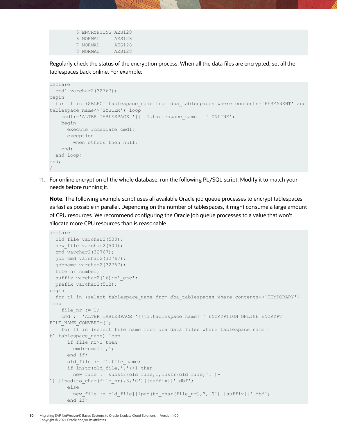```
 5 ENCRYPTING AES128
 6 NORMAL AES128
 7 NORMAL AES128
 8 NORMAL AES128
```
Regularly check the status of the encryption process. When all the data files are encrypted, set all the tablespaces back online. For example:

```
declare
 cmd1 varchar2(32767);
begin
 for t1 in (SELECT tablespace name from dba tablespaces where contents='PERMANENT' and
tablespace_name<>'SYSTEM') loop
    cmd1:='ALTER TABLESPACE '|| t1.tablespace_name ||' ONLINE';
    begin
      execute immediate cmd1;
      exception
       when others then null;
    end;
  end loop;
end;
/
```
11. For online encryption of the whole database, run the following PL/SQL script. Modify it to match your needs before running it.

**Note**: The following example script uses all available Oracle job queue processes to encrypt tablespaces as fast as possible in parallel. Depending on the number of tablespaces, it might consume a large amount of CPU resources. We recommend configuring the Oracle job queue processes to a value that won't allocate more CPU resources than is reasonable.

```
declare
 old file varchar2(500);
 new file varchar2(500);
   cmd varchar2(32767);
 job cmd varchar2(32767);
  jobname varchar2(32767);
 file nr number;
 suffix varchar2(16):=' enc';
   prefix varchar2(512);
begin
 for t1 in (select tablespace name from dba tablespaces where contents<>'TEMPORARY')
loop
   file nr := 1;cmd := 'ALTER TABLESPACE '||t1.tablespace_name||' ENCRYPTION ONLINE ENCRYPT
FILE_NAME_CONVERT=(';
    for f1 in (select file name from dba data files where tablespace name =
t1.tablespace_name) loop
     if file nr>1 then
       cmd:=cmd||','; end if;
     old file := f1.file name;
      if instr(old file,'.')>1 then
         new_file := substr(old_file,1,instr(old_file,'.')-
1)||lpad(to_char(file_nr),3,'0')||suffix||'.dbf';
       else
        new file := old file||lpad(to char(file nr),3,'0')||suffix||'.dbf';
       end if;
```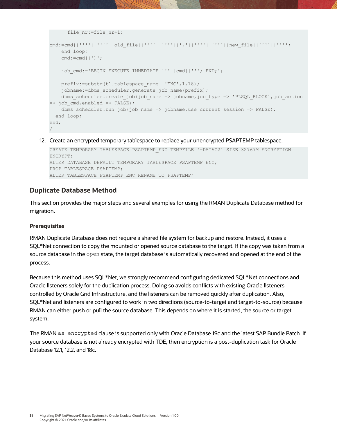```
file nr:=file nr+1;
cmd:=cmd||''''||''''||old_file||''''||''''||','||''''||''''||new_file||''''||'''';
   end loop;
   cmd:=cmd|')';
     job_cmd:='BEGIN EXECUTE IMMEDIATE '''||cmd||'''; END;';
     prefix:=substr(t1.tablespace_name||'ENC',1,18);
    jobname:=dbms_scheduler.generate_job_name(prefix);
   dbms scheduler.create job(job name => jobname,job type => 'PLSQL BLOCK',job action
\Rightarrow job cmd,enabled \Rightarrow FALSE);
   dbms scheduler.run job(job name => jobname,use current session => FALSE);
  end loop;
end;
/
```
12. Create an encrypted temporary tablespace to replace your unencrypted PSAPTEMP tablespace.

```
CREATE TEMPORARY TABLESPACE PSAPTEMP_ENC TEMPFILE '+DATAC2' SIZE 32767M ENCRYPTION 
ENCRYPT;
ALTER DATABASE DEFAULT TEMPORARY TABLESPACE PSAPTEMP_ENC;
DROP TABLESPACE PSAPTEMP;
ALTER TABLESPACE PSAPTEMP_ENC RENAME TO PSAPTEMP;
```
## <span id="page-30-0"></span>**Duplicate Database Method**

This section provides the major steps and several examples for using the RMAN Duplicate Database method for migration.

### **Prerequisites**

RMAN Duplicate Database does not require a shared file system for backup and restore. Instead, it uses a SQL\*Net connection to copy the mounted or opened source database to the target. If the copy was taken from a source database in the open state, the target database is automatically recovered and opened at the end of the process.

Because this method uses SQL\*Net, we strongly recommend configuring dedicated SQL\*Net connections and Oracle listeners solely for the duplication process. Doing so avoids conflicts with existing Oracle listeners controlled by Oracle Grid Infrastructure, and the listeners can be removed quickly after duplication. Also, SQL\*Net and listeners are configured to work in two directions (source-to-target and target-to-source) because RMAN can either push or pull the source database. This depends on where it is started, the source or target system.

The RMAN as encrypted clause is supported only with Oracle Database 19c and the latest SAP Bundle Patch. If your source database is not already encrypted with TDE, then encryption is a post-duplication task for Oracle Database 12.1, 12.2, and 18c.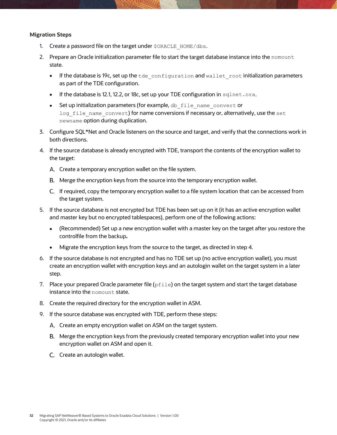#### **Migration Steps**

- 1. Create a password file on the target under \$ORACLE\_HOME/dbs.
- 2. Prepare an Oracle initialization parameter file to start the target database instance into the nomount state.
	- $\bullet$  If the database is 19c, set up the  $t$  de configuration and wallet root initialization parameters as part of the TDE configuration.
	- If the database is 12.1, 12.2, or 18c, set up your TDE configuration in sqlnet.ora.
	- Set up initialization parameters (for example, db file name convert or log file name convert) for name conversions if necessary or, alternatively, use the set newname option during duplication.
- 3. Configure SQL\*Net and Oracle listeners on the source and target, and verify that the connections work in both directions.
- 4. If the source database is already encrypted with TDE, transport the contents of the encryption wallet to the target:
	- Create a temporary encryption wallet on the file system.
	- Merge the encryption keys from the source into the temporary encryption wallet.
	- If required, copy the temporary encryption wallet to a file system location that can be accessed from the target system.
- 5. If the source database is not encrypted but TDE has been set up on it (it has an active encryption wallet and master key but no encrypted tablespaces), perform one of the following actions:
	- (Recommended) Set up a new encryption wallet with a master key on the target after you restore the controlfile from the backup**.**
	- Migrate the encryption keys from the source to the target, as directed in step 4.
- 6. If the source database is not encrypted and has no TDE set up (no active encryption wallet), you must create an encryption wallet with encryption keys and an autologin wallet on the target system in a later step.
- 7. Place your prepared Oracle parameter file  $(pfile)$  on the target system and start the target database instance into the nomount state.
- 8. Create the required directory for the encryption wallet in ASM.
- 9. If the source database was encrypted with TDE, perform these steps:
	- A. Create an empty encryption wallet on ASM on the target system.
	- Merge the encryption keys from the previously created temporary encryption wallet into your new encryption wallet on ASM and open it.
	- C. Create an autologin wallet.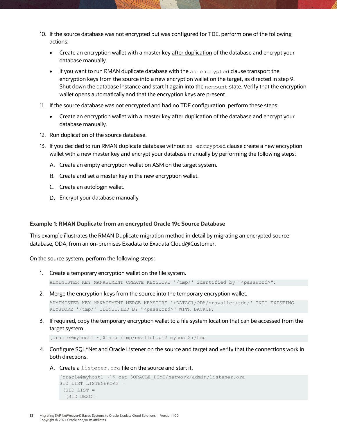- 10. If the source database was not encrypted but was configured for TDE, perform one of the following actions:
	- Create an encryption wallet with a master key after duplication of the database and encrypt your database manually.
	- $\bullet$  If you want to run RMAN duplicate database with the as encrypted clause transport the encryption keys from the source into a new encryption wallet on the target, as directed in step 9. Shut down the database instance and start it again into the nomount state. Verify that the encryption wallet opens automatically and that the encryption keys are present.
- 11. If the source database was not encrypted and had no TDE configuration, perform these steps:
	- Create an encryption wallet with a master key after duplication of the database and encrypt your database manually.
- 12. Run duplication of the source database.
- 13. If you decided to run RMAN duplicate database without as encrypted clause create a new encryption wallet with a new master key and encrypt your database manually by performing the following steps:
	- A. Create an empty encryption wallet on ASM on the target system.
	- B. Create and set a master key in the new encryption wallet.
	- C. Create an autologin wallet.
	- D. Encrypt your database manually

#### **Example 1: RMAN Duplicate from an encrypted Oracle 19c Source Database**

This example illustrates the RMAN Duplicate migration method in detail by migrating an encrypted source database, ODA, from an on-premises Exadata to Exadata Cloud@Customer.

On the source system, perform the following steps:

- 1. Create a temporary encryption wallet on the file system. ADMINISTER KEY MANAGEMENT CREATE KEYSTORE '/tmp/' identified by "<password>";
- 2. Merge the encryption keys from the source into the temporary encryption wallet.

```
ADMINISTER KEY MANAGEMENT MERGE KEYSTORE '+DATAC1/ODA/orawallet/tde/' INTO EXISTING 
KEYSTORE '/tmp/' IDENTIFIED BY "<password>" WITH BACKUP;
```
3. If required, copy the temporary encryption wallet to a file system location that can be accessed from the target system.

[oracle@myhost1 ~]\$ scp /tmp/ewallet.p12 myhost2:/tmp

- 4. Configure SQL\*Net and Oracle Listener on the source and target and verify that the connections work in both directions.
	- A. Create a listener.ora file on the source and start it.

```
[oracle@myhost1 ~]$ cat $ORACLE_HOME/network/admin/listener.ora
SID_LIST_LISTENERORG =
 (SID LIST =(SID DESC =
```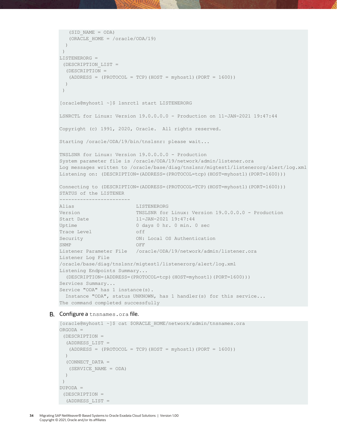```
 (SID_NAME = ODA)
   (ORACLE_HOME = /oracle/ODA/19)
  )
 )
LISTENERORG =
 (DESCRIPTION_LIST =
  (DESCRIPTION =
  (ADDRESS = (PROTOCOL = TCP) (HOST = myhost1) (PORT = 1600)) )
 )
[oracle@myhost1 ~]$ lsnrctl start LISTENERORG
LSNRCTL for Linux: Version 19.0.0.0.0 - Production on 11-JAN-2021 19:47:44
Copyright (c) 1991, 2020, Oracle. All rights reserved.
Starting /oracle/ODA/19/bin/tnslsnr: please wait...
TNSLSNR for Linux: Version 19.0.0.0.0 - Production
System parameter file is /oracle/ODA/19/network/admin/listener.ora
Log messages written to /oracle/base/diag/tnslsnr/migtest1/listenerorg/alert/log.xml
Listening on: (DESCRIPTION=(ADDRESS=(PROTOCOL=tcp)(HOST=myhost1)(PORT=1600)))
Connecting to (DESCRIPTION=(ADDRESS=(PROTOCOL=TCP)(HOST=myhost1)(PORT=1600)))
STATUS of the LISTENER
------------------------
Alias LISTENERORG
Version TNSLSNR for Linux: Version 19.0.0.0.0 - Production
Start Date 11-JAN-2021 19:47:44
Uptime 0 days 0 hr. 0 min. 0 sec
Trace Level off
Security ON: Local OS Authentication
SNMP OFF
Listener Parameter File /oracle/ODA/19/network/admin/listener.ora
Listener Log File 
/oracle/base/diag/tnslsnr/migtest1/listenerorg/alert/log.xml
Listening Endpoints Summary...
  (DESCRIPTION=(ADDRESS=(PROTOCOL=tcp)(HOST=myhost1)(PORT=1600)))
Services Summary...
Service "ODA" has 1 instance(s).
  Instance "ODA", status UNKNOWN, has 1 handler(s) for this service...
The command completed successfully
```
#### B. Configure a tnsnames.ora file.

```
[oracle@myhost1 ~]$ cat $ORACLE_HOME/network/admin/tnsnames.ora
ORGODA =
 (DESCRIPTION =
   (ADDRESS_LIST =
  (ADDRESS = (PROTOCOL = TCP) (HOST = myhost1) (PORT = 1600))\lambda (CONNECT_DATA =
   (SERVICE_NAME = ODA)
   )
)
DUPODA =
 (DESCRIPTION =
  (ADDRESS_LIST =
```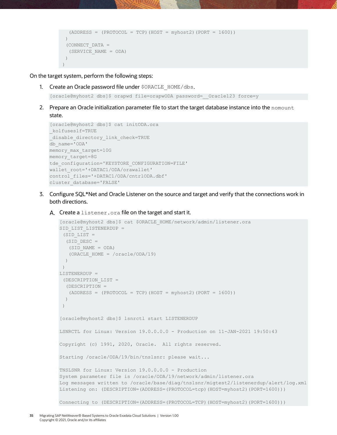```
(ADDRESS = (PROTOCOL = TCP) (HOST = myhost2) (PORT = 1600)) )
  (CONNECT_DATA =
  (SERVICE_NAME = ODA)
  )
\left( \right)
```
On the target system, perform the following steps:

1. Create an Oracle password file under \$ORACLE\_HOME/dbs.

```
[oracle@myhost2 dbs]$ orapwd file=orapwODA password= Oracle123 force=y
```
2. Prepare an Oracle initialization parameter file to start the target database instance into the nomount state.

```
[oracle@myhost2 dbs]$ cat initODA.ora
_kolfuseslf=TRUE
disable directory link check=TRUE
db_name='ODA'
memory_max_target=10G
memory_target=8G
tde_configuration='KEYSTORE_CONFIGURATION=FILE'
wallet_root='+DATAC1/ODA/orawallet'
control_files='+DATAC1/ODA/cntrlODA.dbf'
cluster_database='FALSE'
```
- 3. Configure SQL\*Net and Oracle Listener on the source and target and verify that the connections work in both directions.
	- A. Create a listener. ora file on the target and start it.

```
[oracle@myhost2 dbs]$ cat $ORACLE_HOME/network/admin/listener.ora
SID_LIST_LISTENERDUP =
 (SID_LIST =
  (SID DESC =
   (SID_NAME = ODA)
    (ORACLE_HOME = /oracle/ODA/19)
   )
 )
LISTENERDUP =
 (DESCRIPTION_LIST =
   (DESCRIPTION =
   (ADDRESS = (PROTOCOL = TCP) (HOST = myhost2) (PORT = 1600)) )
 )
[oracle@myhost2 dbs]$ lsnrctl start LISTENERDUP
LSNRCTL for Linux: Version 19.0.0.0.0 - Production on 11-JAN-2021 19:50:43
Copyright (c) 1991, 2020, Oracle. All rights reserved.
Starting /oracle/ODA/19/bin/tnslsnr: please wait...
TNSLSNR for Linux: Version 19.0.0.0.0 - Production
System parameter file is /oracle/ODA/19/network/admin/listener.ora
Log messages written to /oracle/base/diag/tnslsnr/migtest2/listenerdup/alert/log.xml
Listening on: (DESCRIPTION=(ADDRESS=(PROTOCOL=tcp)(HOST=myhost2)(PORT=1600)))
Connecting to (DESCRIPTION=(ADDRESS=(PROTOCOL=TCP)(HOST=myhost2)(PORT=1600)))
```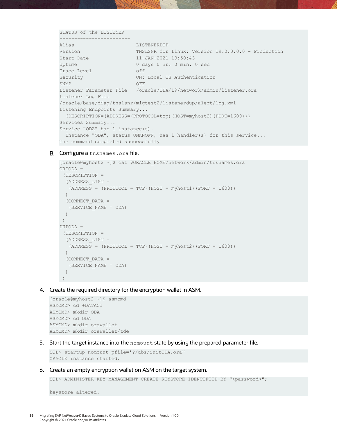STATUS of the LISTENER

| ---------------                                                                            |                                                                   |  |  |  |  |  |
|--------------------------------------------------------------------------------------------|-------------------------------------------------------------------|--|--|--|--|--|
| Alias                                                                                      | LISTENERDUP                                                       |  |  |  |  |  |
| Version                                                                                    | TNSLSNR for Linux: Version 19.0.0.0.0 - Production                |  |  |  |  |  |
| Start Date                                                                                 | $11 - JAN - 2021$ $19:50:43$                                      |  |  |  |  |  |
| Uptime                                                                                     | 0 days 0 hr. 0 min. 0 sec                                         |  |  |  |  |  |
| Trace Level                                                                                | off                                                               |  |  |  |  |  |
| Security                                                                                   | ON: Local OS Authentication                                       |  |  |  |  |  |
| SNMP                                                                                       | OFF                                                               |  |  |  |  |  |
| Listener Parameter File /oracle/ODA/19/network/admin/listener.ora                          |                                                                   |  |  |  |  |  |
| Listener Log File                                                                          |                                                                   |  |  |  |  |  |
|                                                                                            | /oracle/base/diag/tnslsnr/migtest2/listenerdup/alert/log.xml      |  |  |  |  |  |
| Listening Endpoints Summary                                                                |                                                                   |  |  |  |  |  |
| $(DESCRIPTION = (ADDRESS = (PROTOCOL = \text{tcp}) (HOST = \text{myhost2}) (PORT = 1600))$ |                                                                   |  |  |  |  |  |
| Services Summary                                                                           |                                                                   |  |  |  |  |  |
| Service "ODA" has 1 instance(s).                                                           |                                                                   |  |  |  |  |  |
|                                                                                            | Instance "ODA", status UNKNOWN, has 1 handler(s) for this service |  |  |  |  |  |
| The command completed successfully                                                         |                                                                   |  |  |  |  |  |

#### B. Configure a tnsnames.ora file.

```
[oracle@myhost2 ~]$ cat $ORACLE_HOME/network/admin/tnsnames.ora
ORGODA =
(DESCRIPTION =
  (ADDRESS_LIST =
  (ADDRESS = (PROTOCOL = TCP) (HOST = myhost1) (PORT = 1600))) (CONNECT_DATA =
   (SERVICE_NAME = ODA)
  )
)
DUPODA =
(DESCRIPTION =
  (ADDRESS_LIST =
  (ADDRESS = (PROTOCOL = TCP) (HOST = myhost2) (PORT = 1600))\left( \right) (CONNECT_DATA =
   (SERVICE_NAME = ODA)
  )
)
```
4. Create the required directory for the encryption wallet in ASM.

```
[oracle@myhost2 ~]$ asmcmd
ASMCMD> cd +DATAC1
ASMCMD> mkdir ODA
ASMCMD> cd ODA
ASMCMD> mkdir orawallet
ASMCMD> mkdir orawallet/tde
```
5. Start the target instance into the nomount state by using the prepared parameter file.

```
SQL> startup nomount pfile='?/dbs/initODA.ora"
ORACLE instance started.
```
6. Create an empty encryption wallet on ASM on the target system.

SQL> ADMINISTER KEY MANAGEMENT CREATE KEYSTORE IDENTIFIED BY "<password>";

keystore altered.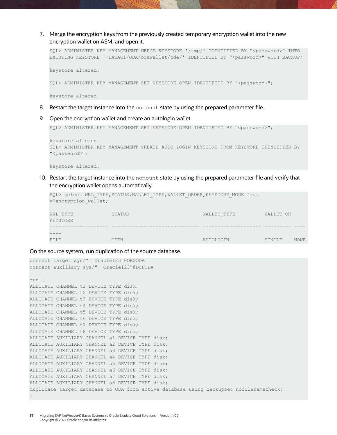7. Merge the encryption keys from the previously created temporary encryption wallet into the new encryption wallet on ASM, and open it.

```
SQL> ADMINISTER KEY MANAGEMENT MERGE KEYSTORE '/tmp/' IDENTIFIED BY "<password>" INTO 
EXISTING KEYSTORE '+DATAC1/ODA/orawallet/tde/' IDENTIFIED BY "<password>" WITH BACKUP;
keystore altered.
SQL> ADMINISTER KEY MANAGEMENT SET KEYSTORE OPEN IDENTIFIED BY "<password>";
keystore altered.
```
- 8. Restart the target instance into the nomount state by using the prepared parameter file.
- 9. Open the encryption wallet and create an autologin wallet.

```
SQL> ADMINISTER KEY MANAGEMENT SET KEYSTORE OPEN IDENTIFIED BY "<password>";
```

```
keystore altered.
SQL> ADMINISTER KEY MANAGEMENT CREATE AUTO_LOGIN KEYSTORE FROM KEYSTORE IDENTIFIED BY 
"<password>";
```
keystore altered.

10. Restart the target instance into the nomount state by using the prepared parameter file and verify that the encryption wallet opens automatically.

```
SQL> select WRL TYPE, STATUS, WALLET TYPE, WALLET ORDER, KEYSTORE MODE from
v$encryption_wallet;
WRL_TYPE STATUS WALLET_TYPE WALLET_OR 
KEYSTORE
-------------------- ------------------------------ -------------------- --------- ----
----
FILE OPEN OPEN AUTOLOGIN SINGLE NONE
```
#### On the source system, run duplication of the source database.

```
connect target sys/" Oracle123"@ORGODA
connect auxiliary sys/" Oracle123"@DUPODA
run {
ALLOCATE CHANNEL t1 DEVICE TYPE disk;
ALLOCATE CHANNEL t2 DEVICE TYPE disk;
ALLOCATE CHANNEL t3 DEVICE TYPE disk;
ALLOCATE CHANNEL t4 DEVICE TYPE disk;
ALLOCATE CHANNEL t5 DEVICE TYPE disk;
ALLOCATE CHANNEL t6 DEVICE TYPE disk;
ALLOCATE CHANNEL t7 DEVICE TYPE disk;
ALLOCATE CHANNEL t8 DEVICE TYPE disk;
ALLOCATE AUXILIARY CHANNEL a1 DEVICE TYPE disk;
ALLOCATE AUXILIARY CHANNEL a2 DEVICE TYPE disk;
ALLOCATE AUXILIARY CHANNEL a3 DEVICE TYPE disk;
ALLOCATE AUXILIARY CHANNEL a4 DEVICE TYPE disk;
ALLOCATE AUXILIARY CHANNEL a5 DEVICE TYPE disk;
ALLOCATE AUXILIARY CHANNEL a6 DEVICE TYPE disk;
ALLOCATE AUXILIARY CHANNEL a7 DEVICE TYPE disk;
ALLOCATE AUXILIARY CHANNEL a8 DEVICE TYPE disk;
duplicate target database to ODA from active database using backupset nofilenamecheck;
}
```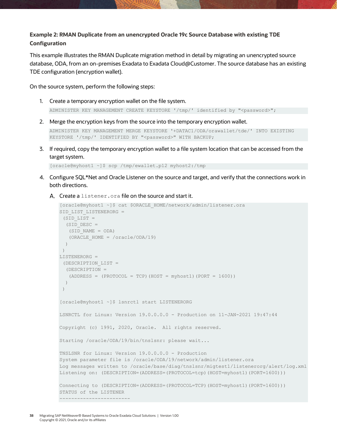## **Example 2: RMAN Duplicate from an unencrypted Oracle 19c Source Database with existing TDE Configuration**

This example illustrates the RMAN Duplicate migration method in detail by migrating an unencrypted source database, ODA, from an on-premises Exadata to Exadata Cloud@Customer. The source database has an existing TDE configuration (encryption wallet).

On the source system, perform the following steps:

- 1. Create a temporary encryption wallet on the file system. ADMINISTER KEY MANAGEMENT CREATE KEYSTORE '/tmp/' identified by "<password>";
- 2. Merge the encryption keys from the source into the temporary encryption wallet.

```
ADMINISTER KEY MANAGEMENT MERGE KEYSTORE '+DATAC1/ODA/orawallet/tde/' INTO EXISTING 
KEYSTORE '/tmp/' IDENTIFIED BY "<password>" WITH BACKUP;
```
3. If required, copy the temporary encryption wallet to a file system location that can be accessed from the target system.

[oracle@myhost1 ~]\$ scp /tmp/ewallet.p12 myhost2:/tmp

- 4. Configure SQL\*Net and Oracle Listener on the source and target, and verify that the connections work in both directions.
	- A. Create a listener. ora file on the source and start it.

```
[oracle@myhost1 ~]$ cat $ORACLE_HOME/network/admin/listener.ora
SID LIST LISTENERORG =
 (SID LIST =
  (SID DESC =
   (SID NAME = ODA)(ORACLE HOME = /oracle/ODA/19) )
 )
LISTENERORG =
 (DESCRIPTION_LIST =
   (DESCRIPTION =
   (ADDRESS = (PROTOCOL = TCP) (HOST = myhost1) (PORT = 1600)) )
 )
[oracle@myhost1 ~]$ lsnrctl start LISTENERORG
LSNRCTL for Linux: Version 19.0.0.0.0 - Production on 11-JAN-2021 19:47:44
Copyright (c) 1991, 2020, Oracle. All rights reserved.
Starting /oracle/ODA/19/bin/tnslsnr: please wait...
TNSLSNR for Linux: Version 19.0.0.0.0 - Production
System parameter file is /oracle/ODA/19/network/admin/listener.ora
Log messages written to /oracle/base/diag/tnslsnr/migtest1/listenerorg/alert/log.xml
Listening on: (DESCRIPTION=(ADDRESS=(PROTOCOL=tcp)(HOST=myhost1)(PORT=1600)))
Connecting to (DESCRIPTION=(ADDRESS=(PROTOCOL=TCP)(HOST=myhost1)(PORT=1600)))
STATUS of the LISTENER
------------------------
```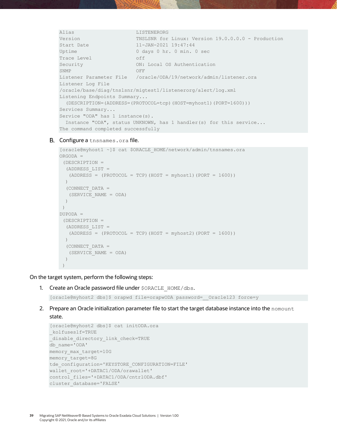```
Alias LISTENERORG
Version TNSLSNR for Linux: Version 19.0.0.0.0 - Production
Start Date 11-JAN-2021 19:47:44
Uptime 0 days 0 hr. 0 min. 0 sec
Trace Level off
Security ON: Local OS Authentication
SNMP OFF
Listener Parameter File /oracle/ODA/19/network/admin/listener.ora
Listener Log File 
/oracle/base/diag/tnslsnr/migtest1/listenerorg/alert/log.xml
Listening Endpoints Summary...
  (DESCRIPTION=(ADDRESS=(PROTOCOL=tcp)(HOST=myhost1)(PORT=1600)))
Services Summary...
Service "ODA" has 1 instance(s).
 Instance "ODA", status UNKNOWN, has 1 handler(s) for this service...
The command completed successfully
```
#### B. Configure a tnsnames.ora file.

```
[oracle@myhost1 ~]$ cat $ORACLE_HOME/network/admin/tnsnames.ora
ORGODA =
 (DESCRIPTION =
   (ADDRESS_LIST =
  (ADDRESS = (PROTOCOL = TCP) (HOST = myhost1) (PORT = 1600))\rightarrow (CONNECT_DATA =
   (SERVICE_NAME = ODA)
   )
 \lambdaDUPODA =
 (DESCRIPTION =
   (ADDRESS_LIST =
  (ADDRESS = (PROTOCOL = TCP) (HOST = myhost2) (PORT = 1600))) (CONNECT_DATA =
   (SERVICE_NAME = ODA)
   )
 \lambda
```
On the target system, perform the following steps:

1. Create an Oracle password file under \$ORACLE\_HOME/dbs.

[oracle@myhost2 dbs]\$ orapwd file=orapwODA password=\_\_Oracle123 force=y

2. Prepare an Oracle initialization parameter file to start the target database instance into the nomount state.

```
[oracle@myhost2 dbs]$ cat initODA.ora
_kolfuseslf=TRUE
_disable_directory_link_check=TRUE
db_name='ODA'
memory max target=10G
memory_target=8G
tde_configuration='KEYSTORE_CONFIGURATION=FILE'
wallet_root='+DATAC1/ODA/orawallet'
control_files='+DATAC1/ODA/cntrlODA.dbf'
cluster_database='FALSE'
```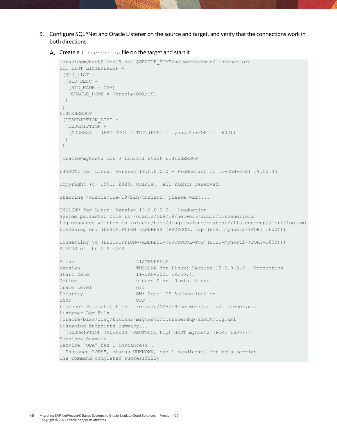3. Configure SQL\*Net and Oracle Listener on the source and target, and verify that the connections work in both directions.

```
A. Create a listener. ora file on the target and start it.
```

```
[oracle@myhost2 dbs]$ cat $ORACLE_HOME/network/admin/listener.ora
SID_LIST_LISTENERDUP =
 (SID LIST =
  (SID DESC =
   (SID_NAME = ODA)
   (ORACLE_HOME = /oracle/ODA/19)
  )
 )
LISTENERDUP =
 (DESCRIPTION_LIST =
  (DESCRIPTION =
  (ADDRESS = (PROTOCOL = TCP) (HOST = myhost2) (PORT = 1600)) )
 )
[oracle@myhost2 dbs]$ lsnrctl start LISTENERDUP
LSNRCTL for Linux: Version 19.0.0.0.0 - Production on 11-JAN-2021 19:50:43
Copyright (c) 1991, 2020, Oracle. All rights reserved.
Starting /oracle/ODA/19/bin/tnslsnr: please wait...
TNSLSNR for Linux: Version 19.0.0.0.0 - Production
System parameter file is /oracle/ODA/19/network/admin/listener.ora
Log messages written to /oracle/base/diag/tnslsnr/migtest2/listenerdup/alert/log.xml
Listening on: (DESCRIPTION=(ADDRESS=(PROTOCOL=tcp)(HOST=myhost2)(PORT=1600)))
Connecting to (DESCRIPTION=(ADDRESS=(PROTOCOL=TCP)(HOST=myhost2)(PORT=1600)))
STATUS of the LISTENER
------------------------
Alias LISTENERDUP
Version TNSLSNR for Linux: Version 19.0.0.0.0 - Production
Start Date 11-JAN-2021 19:50:43
Uptime 0 days 0 hr. 0 min. 0 sec
Trace Level off
Security ON: Local OS Authentication
SNMP OFF
Listener Parameter File /oracle/ODA/19/network/admin/listener.ora
Listener Log File 
/oracle/base/diag/tnslsnr/migtest2/listenerdup/alert/log.xml
Listening Endpoints Summary...
  (DESCRIPTION=(ADDRESS=(PROTOCOL=tcp)(HOST=myhost2)(PORT=1600)))
Services Summary...
Service "ODA" has 1 instance(s).
  Instance "ODA", status UNKNOWN, has 1 handler(s) for this service...
The command completed successfully
```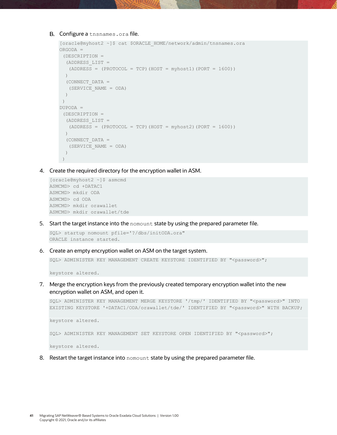#### B. Configure a tnsnames.ora file.

```
[oracle@myhost2 ~]$ cat $ORACLE_HOME/network/admin/tnsnames.ora
ORGODA =
 (DESCRIPTION =
  (ADDRESS_LIST =
  (ADDRESS = (PROTOCOL = TCP) (HOST = myhost1) (PORT = 1600)) )
  (CONNECT_DATA =
   (SERVICE_NAME = ODA)
  )
)
DUPODA =(DESCRIPTION =
  (ADDRESS_LIST =
  (ADDRESS = (PROTOCOL = TCP) (HOST = myhost2) (PORT = 1600))) (CONNECT_DATA =
   (SERVICE_NAME = ODA)
 ))
```
4. Create the required directory for the encryption wallet in ASM.

```
[oracle@myhost2 ~]$ asmcmd
ASMCMD> cd +DATAC1
ASMCMD> mkdir ODA
ASMCMD> cd ODA
ASMCMD> mkdir orawallet
ASMCMD> mkdir orawallet/tde
```
5. Start the target instance into the nomount state by using the prepared parameter file.

```
SQL> startup nomount pfile='?/dbs/initODA.ora"
ORACLE instance started.
```
6. Create an empty encryption wallet on ASM on the target system.

SQL> ADMINISTER KEY MANAGEMENT CREATE KEYSTORE IDENTIFIED BY "<password>";

keystore altered.

7. Merge the encryption keys from the previously created temporary encryption wallet into the new encryption wallet on ASM, and open it.

```
SQL> ADMINISTER KEY MANAGEMENT MERGE KEYSTORE '/tmp/' IDENTIFIED BY "<password>" INTO 
EXISTING KEYSTORE '+DATAC1/ODA/orawallet/tde/' IDENTIFIED BY "<password>" WITH BACKUP;
keystore altered.
SQL> ADMINISTER KEY MANAGEMENT SET KEYSTORE OPEN IDENTIFIED BY "<password>";
keystore altered.
```
8. Restart the target instance into nomount state by using the prepared parameter file.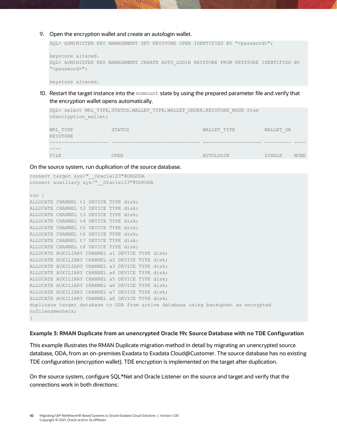9. Open the encryption wallet and create an autologin wallet.

SQL> ADMINISTER KEY MANAGEMENT SET KEYSTORE OPEN IDENTIFIED BY "<password>";

```
keystore altered.
SQL> ADMINISTER KEY MANAGEMENT CREATE AUTO_LOGIN KEYSTORE FROM KEYSTORE IDENTIFIED BY 
"<password>";
```
keystore altered.

10. Restart the target instance into the nomount state by using the prepared parameter file and verify that the encryption wallet opens automatically.

```
SOL> select WRL TYPE, STATUS, WALLET TYPE, WALLET ORDER, KEYSTORE MODE from
v$encryption_wallet;
WRL_TYPE STATUS WALLET_TYPE WALLET_OR 
KEYSTORE
-------------------- ------------------------------ -------------------- --------- ----
----
FILE OPEN OPEN AUTOLOGIN SINGLE NONE
```
On the source system, run duplication of the source database.

```
connect target sys/" Oracle123"@ORGODA
connect auxiliary sys/"__Oracle123"@DUPODA
run {
ALLOCATE CHANNEL t1 DEVICE TYPE disk;
ALLOCATE CHANNEL t2 DEVICE TYPE disk;
ALLOCATE CHANNEL t3 DEVICE TYPE disk;
ALLOCATE CHANNEL t4 DEVICE TYPE disk;
ALLOCATE CHANNEL t5 DEVICE TYPE disk;
ALLOCATE CHANNEL t6 DEVICE TYPE disk;
ALLOCATE CHANNEL t7 DEVICE TYPE disk;
ALLOCATE CHANNEL t8 DEVICE TYPE disk;
ALLOCATE AUXILIARY CHANNEL a1 DEVICE TYPE disk;
ALLOCATE AUXILIARY CHANNEL a2 DEVICE TYPE disk;
ALLOCATE AUXILIARY CHANNEL a3 DEVICE TYPE disk;
ALLOCATE AUXILIARY CHANNEL a4 DEVICE TYPE disk;
ALLOCATE AUXILIARY CHANNEL a5 DEVICE TYPE disk;
ALLOCATE AUXILIARY CHANNEL a6 DEVICE TYPE disk;
ALLOCATE AUXILIARY CHANNEL a7 DEVICE TYPE disk;
ALLOCATE AUXILIARY CHANNEL a8 DEVICE TYPE disk;
duplicate target database to ODA from active database using backupset as encrypted 
nofilenamecheck;
}
```
#### **Example 3: RMAN Duplicate from an unencrypted Oracle 19c Source Database with no TDE Configuration**

This example illustrates the RMAN Duplicate migration method in detail by migrating an unencrypted source database, ODA, from an on-premises Exadata to Exadata Cloud@Customer. The source database has no existing TDE configuration (encryption wallet). TDE encryption is implemented on the target after duplication.

On the source system, configure SQL\*Net and Oracle Listener on the source and target and verify that the connections work in both directions: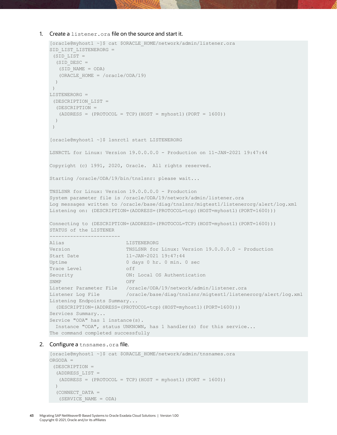```
1. Create a listener.ora file on the source and start it.
```

```
[oracle@myhost1 ~]$ cat $ORACLE_HOME/network/admin/listener.ora
SID_LIST_LISTENERORG =
 (SID LIST =(SID DESC =
   (SID_NAME = ODA)
   (ORACLE_HOME = /oracle/ODA/19)
  )
 )
LISTENERORG =
 (DESCRIPTION_LIST =
  (DESCRIPTION =
   (ADDRESS = (PROTOCOL = TCP)(HOST = myhost1)(PORT = 1600))
  )
 )
[oracle@myhost1 ~]$ lsnrctl start LISTENERORG
LSNRCTL for Linux: Version 19.0.0.0.0 - Production on 11-JAN-2021 19:47:44
Copyright (c) 1991, 2020, Oracle. All rights reserved.
Starting /oracle/ODA/19/bin/tnslsnr: please wait...
TNSLSNR for Linux: Version 19.0.0.0.0 - Production
System parameter file is /oracle/ODA/19/network/admin/listener.ora
Log messages written to /oracle/base/diag/tnslsnr/migtest1/listenerorg/alert/log.xml
Listening on: (DESCRIPTION=(ADDRESS=(PROTOCOL=tcp)(HOST=myhost1)(PORT=1600)))
Connecting to (DESCRIPTION=(ADDRESS=(PROTOCOL=TCP)(HOST=myhost1)(PORT=1600)))
STATUS of the LISTENER
------------------------
Alias LISTENERORG
Version TNSLSNR for Linux: Version 19.0.0.0.0 - Production
Start Date 11-JAN-2021 19:47:44
Uptime 0 days 0 hr. 0 min. 0 sec
Trace Level off
Security ON: Local OS Authentication
SNMP OFF
Listener Parameter File /oracle/ODA/19/network/admin/listener.ora
Listener Log File /oracle/base/diag/tnslsnr/migtest1/listenerorg/alert/log.xml
Listening Endpoints Summary...
  (DESCRIPTION=(ADDRESS=(PROTOCOL=tcp)(HOST=myhost1)(PORT=1600)))
Services Summary...
Service "ODA" has 1 instance(s).
  Instance "ODA", status UNKNOWN, has 1 handler(s) for this service...
The command completed successfully
```
#### 2. Configure a tnsnames.ora file.

```
[oracle@myhost1 ~]$ cat $ORACLE_HOME/network/admin/tnsnames.ora
ORGODA =
 (DESCRIPTION =
  (ADDRESS_LIST =
  (ADDRESS = (PROTOCOL = TCP) (HOST = myhost1) (PORT = 1600))) (CONNECT_DATA =
  (SERVICE_NAME = ODA)
```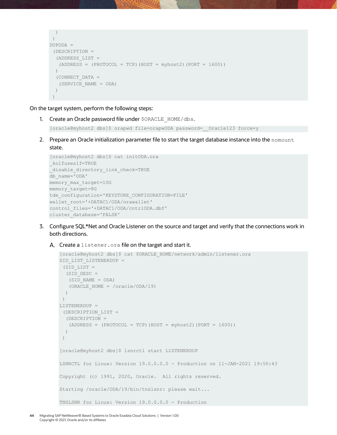```
\rightarrow)
DUPODA =
 (DESCRIPTION =
   (ADDRESS_LIST =
   (ADDRESS = (PROTOCOL = TCP) (HOST = myhost2) (PORT = 1600))) (CONNECT_DATA =
    (SERVICE_NAME = ODA)
  \left( \right))
```
On the target system, perform the following steps:

1. Create an Oracle password file under \$ORACLE\_HOME/dbs.

[oracle@myhost2 dbs]\$ orapwd file=orapwODA password= Oracle123 force=y

2. Prepare an Oracle initialization parameter file to start the target database instance into the nomount state.

```
[oracle@myhost2 dbs]$ cat initODA.ora
_kolfuseslf=TRUE
disable directory link check=TRUE
db_name='ODA'
memory max target=10G
memory_target=8G
tde_configuration='KEYSTORE_CONFIGURATION=FILE'
wallet_root='+DATAC1/ODA/orawallet'
control_files='+DATAC1/ODA/cntrlODA.dbf'
cluster_database='FALSE'
```
- 3. Configure SQL\*Net and Oracle Listener on the source and target and verify that the connections work in both directions.
	- A. Create a listener. ora file on the target and start it.

```
[oracle@myhost2 dbs]$ cat $ORACLE_HOME/network/admin/listener.ora
SID_LIST_LISTENERDUP =
 (SID_LIST =
  (SID DESC =
   (SID_NAME = ODA)
    (ORACLE_HOME = /oracle/ODA/19)
   )
 )
LISTENERDUP =
 (DESCRIPTION_LIST =
   (DESCRIPTION =
  (ADDRESS = (PROTOCOL = TCP) (HOST = myhost2) (PORT = 1600)) )
 )
[oracle@myhost2 dbs]$ lsnrctl start LISTENERDUP
LSNRCTL for Linux: Version 19.0.0.0.0 - Production on 11-JAN-2021 19:50:43
Copyright (c) 1991, 2020, Oracle. All rights reserved.
Starting /oracle/ODA/19/bin/tnslsnr: please wait...
TNSLSNR for Linux: Version 19.0.0.0.0 - Production
```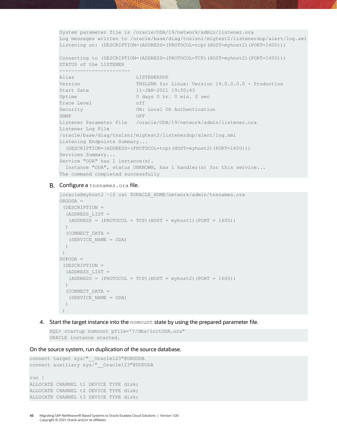System parameter file is /oracle/ODA/19/network/admin/listener.ora Log messages written to /oracle/base/diag/tnslsnr/migtest2/listenerdup/alert/log.xml Listening on: (DESCRIPTION=(ADDRESS=(PROTOCOL=tcp)(HOST=myhost2)(PORT=1600)))

Connecting to (DESCRIPTION=(ADDRESS=(PROTOCOL=TCP)(HOST=myhost2)(PORT=1600))) STATUS of the LISTENER

| Alias                              | LISTENERDUP                                                                                 |
|------------------------------------|---------------------------------------------------------------------------------------------|
| Version                            | TNSLSNR for Linux: Version 19.0.0.0.0 - Production                                          |
| Start Date                         | $11 - JAN - 2021$ $19:50:43$                                                                |
| Uptime                             | 0 days 0 hr. 0 min. 0 sec                                                                   |
| Trace Level                        | off                                                                                         |
| Security                           | ON: Local OS Authentication                                                                 |
| SNMP                               | OFF                                                                                         |
|                                    | Listener Parameter File /oracle/ODA/19/network/admin/listener.ora                           |
| Listener Log File                  |                                                                                             |
|                                    | /oracle/base/diaq/tnslsnr/miqtest2/listenerdup/alert/loq.xml                                |
| Listening Endpoints Summary        |                                                                                             |
|                                    | $(DESCRIPITION = (ADDRESS = (PROTOCOL = \text{tcp}) (HOST = \text{myhost2}) (PORT = 1600))$ |
| Services Summary                   |                                                                                             |
| Service "ODA" has 1 instance(s).   |                                                                                             |
|                                    | Instance "ODA", status UNKNOWN, has 1 handler(s) for this service                           |
| The command completed successfully |                                                                                             |

#### **B.** Configure a tnsnames.ora file.

------------------------

```
[oracle@myhost2 ~]$ cat $ORACLE_HOME/network/admin/tnsnames.ora
ORGODA =
(DESCRIPTION =
  (ADDRESS_LIST =
  (ADDRESS = (PROTOCOL = TCP) (HOST = myhost1) (PORT = 1600)) )
  (CONNECT_DATA =
   (SERVICE_NAME = ODA)
  )
)
DUPODA =
(DESCRIPTION =
  (ADDRESS_LIST =
  (ADDRESS = (PROTOCOL = TCP) (HOST = myhost2) (PORT = 1600)) )
  (CONNECT_DATA =
   (SERVICE_NAME = ODA)
   )
 )
```
4. Start the target instance into the nomount state by using the prepared parameter file.

```
SQL> startup nomount pfile='?/dbs/initODA.ora"
ORACLE instance started.
```
On the source system, run duplication of the source database.

```
connect target sys/" Oracle123"@ORGODA
connect auxiliary sys/"__Oracle123"@DUPODA
run {
ALLOCATE CHANNEL t1 DEVICE TYPE disk;
ALLOCATE CHANNEL t2 DEVICE TYPE disk;
ALLOCATE CHANNEL t3 DEVICE TYPE disk;
```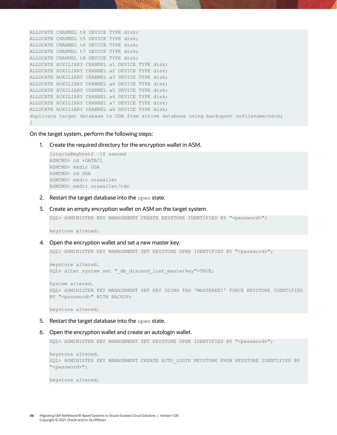```
ALLOCATE CHANNEL t4 DEVICE TYPE disk;
ALLOCATE CHANNEL t5 DEVICE TYPE disk;
ALLOCATE CHANNEL t6 DEVICE TYPE disk;
ALLOCATE CHANNEL t7 DEVICE TYPE disk;
ALLOCATE CHANNEL t8 DEVICE TYPE disk;
ALLOCATE AUXILIARY CHANNEL a1 DEVICE TYPE disk;
ALLOCATE AUXILIARY CHANNEL a2 DEVICE TYPE disk;
ALLOCATE AUXILIARY CHANNEL a3 DEVICE TYPE disk;
ALLOCATE AUXILIARY CHANNEL a4 DEVICE TYPE disk;
ALLOCATE AUXILIARY CHANNEL a5 DEVICE TYPE disk;
ALLOCATE AUXILIARY CHANNEL a6 DEVICE TYPE disk;
ALLOCATE AUXILIARY CHANNEL a7 DEVICE TYPE disk;
ALLOCATE AUXILIARY CHANNEL a8 DEVICE TYPE disk;
duplicate target database to ODA from active database using backupset nofilenamecheck;
}
```
On the target system, perform the following steps:

1. Create the required directory for the encryption wallet in ASM.

```
[oracle@myhost2 ~]$ asmcmd
ASMCMD> cd +DATAC1
ASMCMD> mkdir ODA
ASMCMD> cd ODA
ASMCMD> mkdir orawallet
ASMCMD> mkdir orawallet/tde
```
- 2. Restart the target database into the open state.
- 3. Create an empty encryption wallet on ASM on the target system.

SQL> ADMINISTER KEY MANAGEMENT CREATE KEYSTORE IDENTIFIED BY "<password>";

keystore altered.

4. Open the encryption wallet and set a new master key.

SQL> ADMINISTER KEY MANAGEMENT SET KEYSTORE OPEN IDENTIFIED BY "<password>";

```
keystore altered.
SQL> alter system set " db discard lost masterkey"=TRUE;
```
System altered. SQL> ADMINISTER KEY MANAGEMENT SET KEY USING TAG 'MASTERKEY' FORCE KEYSTORE IDENTIFIED BY "<password>" WITH BACKUP;

keystore altered.

- 5. Restart the target database into the open state.
- 6. Open the encryption wallet and create an autologin wallet.

SQL> ADMINISTER KEY MANAGEMENT SET KEYSTORE OPEN IDENTIFIED BY "<password>";

```
keystore altered.
SQL> ADMINISTER KEY MANAGEMENT CREATE AUTO_LOGIN KEYSTORE FROM KEYSTORE IDENTIFIED BY 
"<password>";
```
keystore altered.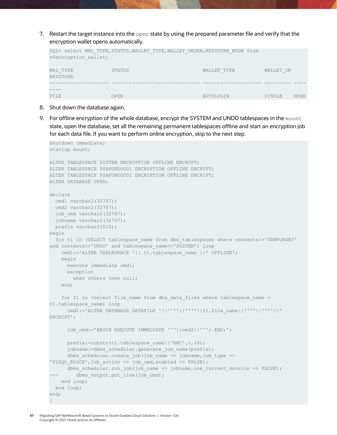7. Restart the target instance into the open state by using the prepared parameter file and verify that the encryption wallet opens automatically.

| SQL> select WRL TYPE, STATUS, WALLET TYPE, WALLET ORDER, KEYSTORE MODE from<br>v\$encryption wallet; |        |             |           |             |  |  |
|------------------------------------------------------------------------------------------------------|--------|-------------|-----------|-------------|--|--|
| WRL TYPE<br><b>KEYSTORE</b>                                                                          | STATUS | WALLET TYPE | WALLET OR |             |  |  |
|                                                                                                      |        |             |           |             |  |  |
| FILE                                                                                                 | OPEN   | AUTOLOGIN   | SINGLE    | <b>NONE</b> |  |  |

- 8. Shut down the database again.
- 9. For offline encryption of the whole database, encrypt the SYSTEM and UNDO tablespaces in the mount state, open the database, set all the remaining permanent tablespaces offline and start an encryption job for each data file. If you want to perform online encryption, skip to the next step.

```
shutdown immediate;
startup mount;
ALTER TABLESPACE SYSTEM ENCRYPTION OFFLINE ENCRYPT;
ALTER TABLESPACE PSAPUNDO001 ENCRYPTION OFFLINE ENCRYPT;
ALTER TABLESPACE PSAPUNDO002 ENCRYPTION OFFLINE ENCRYPT;
ALTER DATABASE OPEN;
declare
  cmd1 varchar2(32767);
  cmd2 varchar2(32767);
  job cmd varchar2(32767);
   jobname varchar2(32767);
  prefix varchar2(512);
begin
 for t1 in (SELECT tablespace name from dba tablespaces where contents<>'TEMPORARY'
and contents<>'UNDO' and tablespace_name<>'SYSTEM') loop
    cmd1:='ALTER TABLESPACE '|| t1.tablespace name ||' OFFLINE';
    begin
      execute immediate cmd1;
      exception
       when others then null;
     end;
    for f1 in (select file name from dba data files where tablespace name =
t1.tablespace_name) loop
      cmd2:='ALTER DATABASE DATAFILE '||''''||''''||f1.file_name||''''||''''||' 
ENCRYPT';
       job_cmd:='BEGIN EXECUTE IMMEDIATE '''||cmd2||'''; END;';
       prefix:=substr(t1.tablespace_name||'ENC',1,18);
      jobname:=dbms scheduler.generate job name(prefix);
       dbms_scheduler.create_job(job_name => jobname,job_type => 
'PLSQL BLOCK',job action => job cmd,enabled => FALSE);
      dbms_scheduler.run_job(job_name => jobname,use_current_session => FALSE);
--- dbms output.put line(job cmd);
    end loop;
  end loop;
end;
/
```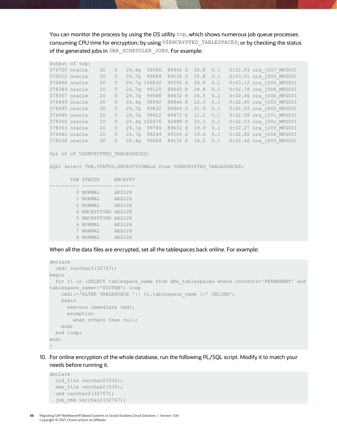You can monitor the process by using the OS utility  $top$ , which shows numerous job queue processes consuming CPU time for encryption; by using V\$ENCRYPTED\_TABLESPACES; or by checking the status of the generated jobs in DBA\_SCHEDULER\_JOBS. For example:

|               | Output of top: |    |          |                          |              |      |     |                         |
|---------------|----------------|----|----------|--------------------------|--------------|------|-----|-------------------------|
|               | 376750 oracle  | 20 | $\circ$  | 26.4g 99580              | 89440 S      | 26.8 | 0.1 | 0:02.93 ora j007 MFG001 |
|               | 376512 oracle  | 20 | $\circ$  | 26.7q 99684              | 89536 S      | 25.8 | 0.1 | 0:03.01 ora j004 MFG001 |
|               | 376488 oracle  | 20 | $\circ$  | 26.7q 106832 95292 S     |              | 24.8 | 0.1 | 0:03.12 ora j000 MFG001 |
|               | 378349 oracle  | 20 | $\circ$  | 26.7q 99120              | 89060 R 24.8 |      | 0.1 | 0:02.78 ora j008 MFG001 |
|               | 378357 oracle  | 20 | $\circ$  | 26.7q 99588 89432 R 24.5 |              |      | 0.1 | 0:02.46 ora j00b MFG001 |
|               | 376499 oracle  | 20 | $\Omega$ | 26.4g 98892              | 88844 R 22.5 |      | 0.1 | 0:02.85 ora j003 MFG001 |
|               | 376495 oracle  | 20 | $\Omega$ | 26.7q 99832              | 89664 S      | 21.9 | 0.1 | 0:02.93 ora j002 MFG001 |
|               | 376490 oracle  | 20 | $\circ$  | 26.7q 99612              | 89472 S 21.2 |      | 0.1 | 0:02.58 ora j001 MFG001 |
|               | 378360 oracle  | 20 | $\circ$  | 26.4g 102676             | 92488 S      | 20.3 | 0.1 | 0:02.53 ora j00c MFG001 |
|               | 378353 oracle  | 20 | $\circ$  | 26.7q 99784              | 89632 S      | 19.9 | 0.1 | 0:02.27 ora j009 MFG001 |
|               | 376642 oracle  | 20 | $\circ$  | 26.7q 99244              | 89164 S      | 19.6 | 0.1 | 0:02.82 ora j006 MFG001 |
| 376558 oracle |                | 20 | $\Omega$ | 26.4g 99284              | 89132 S 18.0 |      | 0.1 | 0:02.46 ora j005 MFG001 |

Out of of V\$ENCRYPTED TABLESPACES:

SQL> select TS#, STATUS, ENCRYPTIONALG from V\$ENCRYPTED TABLESPACES;

| TS# STATUS          | ENCRYPT       |
|---------------------|---------------|
|                     |               |
| <b>NORMAL</b>       | <b>AES128</b> |
| 1 NORMAL            | <b>AES128</b> |
| 2 NORMAL            | <b>AES128</b> |
| 4 ENCRYPTING AES128 |               |
| 5 ENCRYPTING AES128 |               |
| 6 NORMAL            | <b>AES128</b> |
| 7 NORMAL            | <b>AES128</b> |
| NORMAT.             | <b>AES128</b> |

When all the data files are encrypted, set all the tablespaces back online. For example:

```
declare
 cmd1 varchar2(32767);
begin
 for t1 in (SELECT tablespace name from dba tablespaces where contents='PERMANENT' and
tablespace_name<>'SYSTEM') loop
  cmd1:='ALTER TABLESPACE '|| t1.tablespace name ||' ONLINE';
   begin
      execute immediate cmd1;
      exception
      when others then null;
    end;
  end loop;
end;
/
```
10. For online encryption of the whole database, run the following PL/SQL script. Modify it to match your needs before running it.

```
declare
 old file varchar2(500);
 new file varchar2(500);
  cmd varchar2(32767);
 job cmd varchar2(32767);
```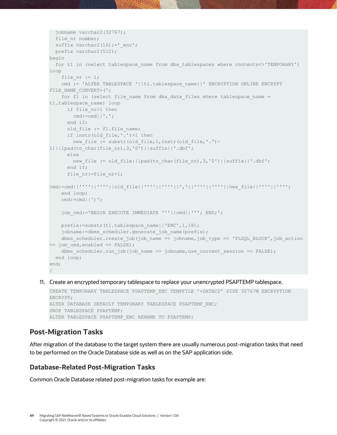```
 jobname varchar2(32767);
 file nr number;
 suffix varchar2(16):='enc';
  prefix varchar2(512);
begin
  for t1 in (select tablespace_name from dba_tablespaces where contents<>'TEMPORARY') 
loop
   file nr := 1;cmd := 'ALTER TABLESPACE '||t1.tablespace name||' ENCRYPTION ONLINE ENCRYPT
FILE_NAME_CONVERT=(';
    for f1 in (select file name from dba data files where tablespace name =
t1.tablespace_name) loop
      if file_nr>1 then
       cmd:=cmd||','; end if;
     old file := f1.file name;
     if instr(old file,'.')>1 then
        new file := substr(old file,1,instr(old file,'.')-
1)||lpad(to char(file nr), 3, '0')||suffix||'.dbf';
      else
       new file := old file||lpad(to char(file nr),3,'0')||suffix||'.dbf';
      end if;
      file_nr:=file_nr+1;
cmd:=cmd||''''||''''||old_file||''''||''''||','||''''||''''||new_file||''''||'''';
    end loop;
   cmd:=cmd|')';
    job_cmd:='BEGIN EXECUTE IMMEDIATE '''||cmd||'''; END;';
    prefix:=substr(t1.tablespace_name||'ENC',1,18);
    jobname:=dbms scheduler.generate job name(prefix);
    dbms scheduler.create job(job name => jobname,job type => 'PLSQL BLOCK',job action
\Rightarrow job cmd,enabled \Rightarrow FALSE);
    dbms_scheduler.run_job(job_name => jobname,use_current_session => FALSE);
  end loop;
end;
/
```
11. Create an encrypted temporary tablespace to replace your unencrypted PSAPTEMP tablespace.

```
CREATE TEMPORARY TABLESPACE PSAPTEMP ENC TEMPFILE '+DATAC2' SIZE 32767M ENCRYPTION
ENCRYPT;
ALTER DATABASE DEFAULT TEMPORARY TABLESPACE PSAPTEMP_ENC;
DROP TABLESPACE PSAPTEMP;
ALTER TABLESPACE PSAPTEMP_ENC RENAME TO PSAPTEMP;
```
## <span id="page-48-0"></span>**Post-Migration Tasks**

After migration of the database to the target system there are usually numerous post-migration tasks that need to be performed on the Oracle Database side as well as on the SAP application side.

## <span id="page-48-1"></span>**Database-Related Post-Migration Tasks**

Common Oracle Database related post-migration tasks for example are: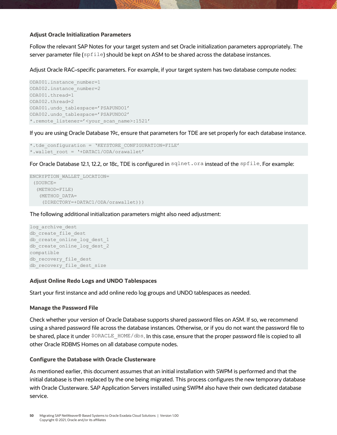#### **Adjust Oracle Initialization Parameters**

Follow the relevant SAP Notes for your target system and set Oracle initialization parameters appropriately. The server parameter file ( $\text{spfile}$ ) should be kept on ASM to be shared across the database instances.

Adjust Oracle RAC–specific parameters. For example, if your target system has two database compute nodes:

```
ODA001.instance number=1
ODA002.instance_number=2
ODA001.thread=1
ODA002.thread=2
ODA001.undo_tablespace='PSAPUNDO1'
ODA002.undo_tablespace='PSAPUNDO2'
*.remote_listener='<your_scan_name>:1521'
```
If you are using Oracle Database 19c, ensure that parameters for TDE are set properly for each database instance.

```
*.tde_configuration = 'KEYSTORE_CONFIGURATION=FILE'
*.wallet_root = '+DATAC1/ODA/orawallet'
```
For Oracle Database 12.1, 12.2, or 18c, TDE is configured in sqlnet.ora instead of the spfile. For example:

```
ENCRYPTION_WALLET_LOCATION=
 (SOURCE=
   (METHOD=FILE)
    (METHOD_DATA=
     (DIRECTORY=+DATAC1/ODA/orawallet)))
```
The following additional initialization parameters might also need adjustment:

```
log archive dest
db_create_file_dest
db create online log dest 1
db_create_online_log_dest_2
compatible
db_recovery_file_dest
db_recovery_file_dest_size
```
#### **Adjust Online Redo Logs and UNDO Tablespaces**

Start your first instance and add online redo log groups and UNDO tablespaces as needed.

#### **Manage the Password File**

Check whether your version of Oracle Database supports shared password files on ASM. If so, we recommend using a shared password file across the database instances. Otherwise, or if you do not want the password file to be shared, place it under \$ORACLE\_HOME/dbs. In this case, ensure that the proper password file is copied to all other Oracle RDBMS Homes on all database compute nodes.

#### **Configure the Database with Oracle Clusterware**

As mentioned earlier, this document assumes that an initial installation with SWPM is performed and that the initial database is then replaced by the one being migrated. This process configures the new temporary database with Oracle Clusterware. SAP Application Servers installed using SWPM also have their own dedicated database service.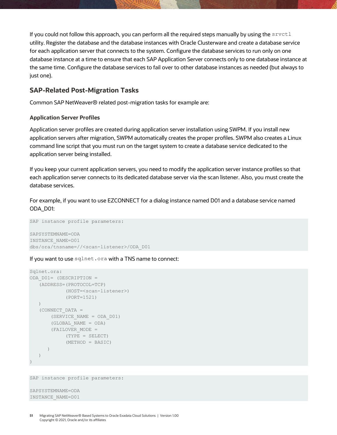If you could not follow this approach, you can perform all the required steps manually by using the srvctl utility. Register the database and the database instances with Oracle Clusterware and create a database service for each application server that connects to the system. Configure the database services to run only on one database instance at a time to ensure that each SAP Application Server connects only to one database instance at the same time. Configure the database services to fail over to other database instances as needed (but always to just one).

## <span id="page-50-0"></span>**SAP-Related Post-Migration Tasks**

Common SAP NetWeaver® related post-migration tasks for example are:

#### **Application Server Profiles**

Application server profiles are created during application server installation using SWPM. If you install new application servers after migration, SWPM automatically creates the proper profiles. SWPM also creates a Linux command line script that you must run on the target system to create a database service dedicated to the application server being installed.

If you keep your current application servers, you need to modify the application server instance profiles so that each application server connects to its dedicated database server via the scan listener. Also, you must create the database services.

For example, if you want to use EZCONNECT for a dialog instance named D01 and a database service named ODA\_D01:

```
SAP instance profile parameters:
SAPSYSTEMNAME=ODA
INSTANCE_NAME=D01
dbs/ora/tnsname=//<scan-listener>/ODA_D01
```
#### If you want to use sqlnet.ora with a TNS name to connect:

```
Sqlnet.ora:
ODA_D01= (DESCRIPTION =
    (ADDRESS=(PROTOCOL=TCP)
          (HOST=<scan-listener>)
             (PORT=1521)
    )
    (CONNECT_DATA =
       (SERVICE_NAME = ODA_D01)
       (GLOBAL_NAME = ODA)
       (FAILOVER_MODE =
           (TYPE = SELECT)
             (METHOD = BASIC)
       )
    )
)
```
SAP instance profile parameters:

```
SAPSYSTEMNAME=ODA
INSTANCE_NAME=D01
```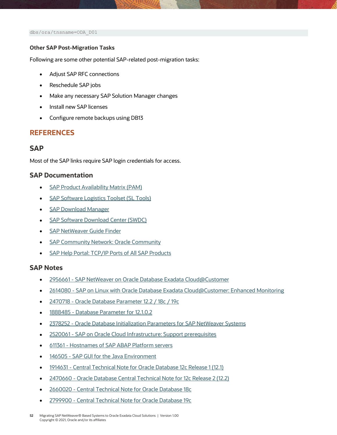dbs/ora/tnsname=ODA\_D01

#### **Other SAP Post-Migration Tasks**

Following are some other potential SAP-related post-migration tasks:

- Adjust SAP RFC connections
- Reschedule SAP jobs
- Make any necessary SAP Solution Manager changes
- Install new SAP licenses
- Configure remote backups using DB13

## **REFERENCES**

### <span id="page-51-0"></span>**SAP**

Most of the SAP links require SAP login credentials for access.

### <span id="page-51-1"></span>**SAP Documentation**

- [SAP Product Availability Matrix \(PAM\)](https://apps.support.sap.com/sap/support/pam)
- [SAP Software Logistics Toolset \(SL Tools\)](https://support.sap.com/en/tools/software-logistics-tools.html)
- [SAP Download Manager](https://support.sap.com/content/dam/support/en_us/library/ssp/my-support/help-for-sap-support-applications/online_help-download_manager.html)
- [SAP Software Download Center \(SWDC\)](https://support.sap.com/swdc)
- [SAP NetWeaver Guide Finder](https://cp.hana.ondemand.com/dps/d/preview/ec5624d5073d4c949b42bf284742748d/1.0/en-US/frameset.htm?576f5c1808de4d1abecbd6e503c9ba42.html)
- **[SAP Community Network:](https://community.sap.com/topics/oracle) Oracle Community**
- [SAP Help Portal: TCP/IP Ports of All SAP Products](https://help.sap.com/viewer/ports)

#### <span id="page-51-2"></span>**SAP Notes**

- 2956661 [SAP NetWeaver on Oracle Database Exadata Cloud@Customer](https://launchpad.support.sap.com/#/notes/2956661)
- 2614080 [SAP on Linux with Oracle Database Exadata Cloud@Customer: Enhanced Monitoring](https://launchpad.support.sap.com/#/notes/2614080)
- 2470718 [Oracle Database Parameter 12.2 / 18c](https://launchpad.support.sap.com/#/notes/2470718) / 19c
- 1888485 [Database Parameter for 12.1.0.2](https://launchpad.support.sap.com/#/notes/1888485)
- 2378252 [Oracle Database Initialization Parameters for SAP NetWeaver Systems](https://launchpad.support.sap.com/#/notes/2378252)
- 2520061 [SAP on Oracle Cloud Infrastructure: Support prerequisites](https://launchpad.support.sap.com/#/notes/2520061)
- 611361 [Hostnames of SAP ABAP Platform servers](https://launchpad.support.sap.com/#/notes/611361)
- 146505 [SAP GUI for the Java Environment](https://launchpad.support.sap.com/#/notes/146505)
- 1914631 [Central Technical Note for Oracle Database 12c Release 1 \(12.1\)](https://launchpad.support.sap.com/#/notes/1914631)
- 2470660 [Oracle Database Central Technical Note for 12c Release 2 \(12.2\)](https://launchpad.support.sap.com/#/notes/2470660)
- 2660020 [Central Technical Note for Oracle Database 18c](https://launchpad.support.sap.com/#/notes/2660020)
- 2799900 [Central Technical Note for Oracle Database 19c](https://launchpad.support.sap.com/#/notes/2799900)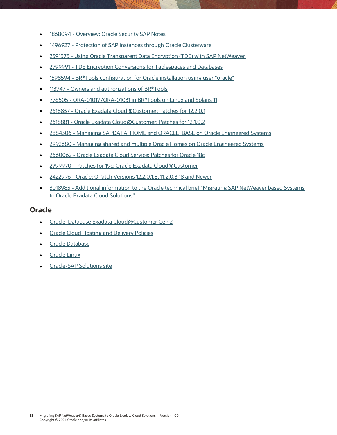- 1868094 [Overview: Oracle Security SAP Notes](https://launchpad.support.sap.com/#/notes/1868094)
- 1496927 [Protection of SAP instances through Oracle Clusterware](https://launchpad.support.sap.com/#/notes/1496927)
- 2591575 [Using Oracle Transparent Data Encryption \(TDE\) with SAP NetWeaver](https://launchpad.support.sap.com/#/notes/2591575)
- 2799991 [TDE Encryption Conversions for Tablespaces and Databases](https://launchpad.support.sap.com/#/notes/2799991)
- 1598594 [BR\\*Tools configuration for Oracle installation using user "oracle"](https://launchpad.support.sap.com/#/notes/1598594)
- 113747 [Owners and authorizations of BR\\*Tools](https://launchpad.support.sap.com/#/notes/113747)
- 776505 [ORA-01017/ORA-01031 in BR\\*Tools on Linux and Solaris 11](https://launchpad.support.sap.com/#/notes/776505)
- 2618837 [Oracle Exadata Cloud@Customer: Patches for 12.2.0.1](https://launchpad.support.sap.com/#/notes/2618837)
- 2618881 [Oracle Exadata Cloud@Customer: Patches for 12.1.0.2](https://launchpad.support.sap.com/#/notes/2618881)
- 2884306 [Managing SAPDATA\\_HOME and ORACLE\\_BASE on Oracle Engineered Systems](https://launchpad.support.sap.com/#/notes/2884306)
- 2992680 [Managing shared and multiple Oracle Homes on Oracle Engineered Systems](https://launchpad.support.sap.com/#/notes/2992680)
- 2660062 [Oracle Exadata Cloud Service: Patches for Oracle 18c](https://launchpad.support.sap.com/#/notes/2660062)
- 2799970 [Patches for 19c: Oracle Exadata Cloud@Customer](https://launchpad.support.sap.com/#/notes/2799970)
- 2422996 [Oracle: OPatch Versions 12.2.0.1.8, 11.2.0.3.18 and Newer](https://launchpad.support.sap.com/#/notes/2422996)
- 3018983 [Additional information to the Oracle technical brief "Migrating SAP NetWeaver based Systems](https://launchpad.support.sap.com/#/notes/3018983)  [to Oracle Exadata Cloud Solutions"](https://launchpad.support.sap.com/#/notes/3018983)

## <span id="page-52-0"></span>**Oracle**

- [Oracle Database Exadata Cloud@Customer](https://docs.oracle.com/en/engineered-systems/exadata-cloud-at-customer/19/eccad/eccmanagingvmclusters.html) Gen 2
- Oracle Cloud [Hosting and Delivery Policies](http://www.oracle.com/us/corporate/contracts/ocloud-hosting-delivery-policies-3089853.pdf)
- [Oracle Database](http://docs.oracle.com/en/database/)
- [Oracle Linux](http://docs.oracle.com/en/operating-systems/linux.html)
- [Oracle-SAP Solutions site](http://www.oracle.com/us/solutions/sap/introduction/overview/index.html)